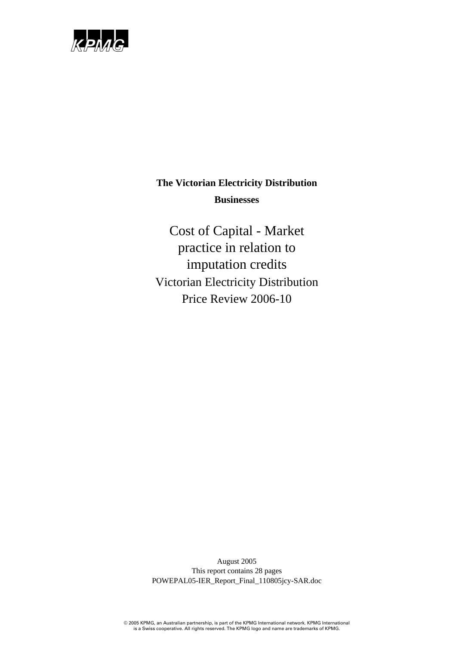

Cost of Capital - Market practice in relation to imputation credits Victorian Electricity Distribution Price Review 2006-10

August 2005 This report contains 28 pages POWEPAL05-IER\_Report\_Final\_110805jcy-SAR.doc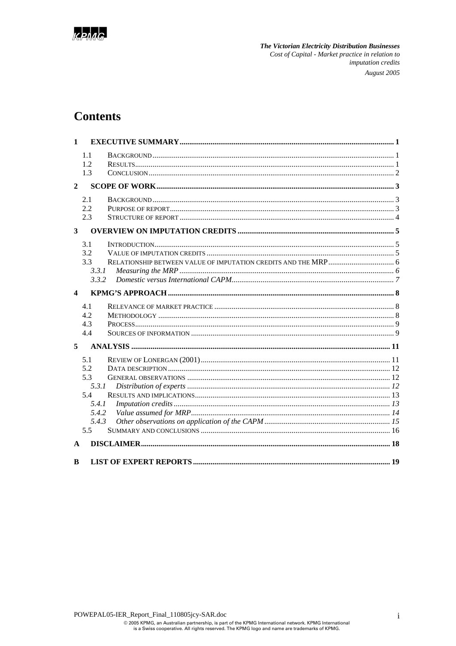

## **Contents**

| $\mathbf{1}$            |                                                                     |                                     |  |
|-------------------------|---------------------------------------------------------------------|-------------------------------------|--|
|                         | 1.1<br>1.2<br>1.3                                                   |                                     |  |
| $\overline{2}$          |                                                                     |                                     |  |
|                         | 2.1<br>2.2<br>2.3                                                   |                                     |  |
| $\overline{\mathbf{3}}$ |                                                                     |                                     |  |
|                         | 3.1<br>3.2<br>3.3<br>3.3.1<br>3.3.2                                 |                                     |  |
| $\boldsymbol{4}$        |                                                                     |                                     |  |
|                         | 4.1<br>4.2<br>4.3<br>4.4                                            |                                     |  |
| 5                       |                                                                     |                                     |  |
|                         | 5.1<br>5.2<br>5.3<br>5.3.1<br>5.4<br>5.4.1<br>5.4.2<br>5.4.3<br>5.5 |                                     |  |
| $\mathbf{A}$            |                                                                     |                                     |  |
| B                       |                                                                     | 19<br><b>LIST OF EXPERT REPORTS</b> |  |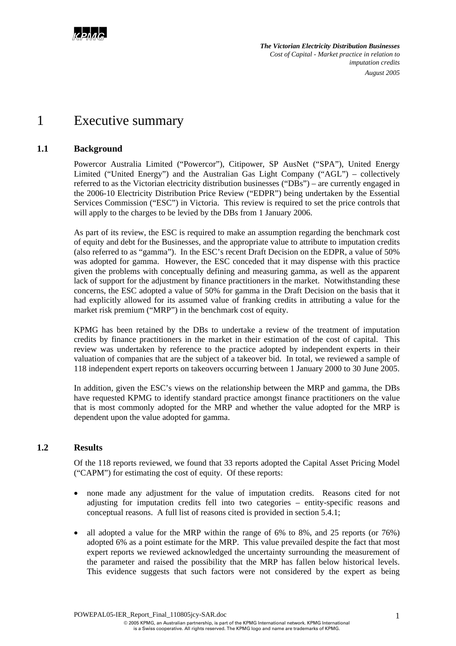

## 1 Executive summary

## **1.1 Background**

Powercor Australia Limited ("Powercor"), Citipower, SP AusNet ("SPA"), United Energy Limited ("United Energy") and the Australian Gas Light Company ("AGL") – collectively referred to as the Victorian electricity distribution businesses ("DBs") – are currently engaged in the 2006-10 Electricity Distribution Price Review ("EDPR") being undertaken by the Essential Services Commission ("ESC") in Victoria. This review is required to set the price controls that will apply to the charges to be levied by the DBs from 1 January 2006.

As part of its review, the ESC is required to make an assumption regarding the benchmark cost of equity and debt for the Businesses, and the appropriate value to attribute to imputation credits (also referred to as "gamma"). In the ESC's recent Draft Decision on the EDPR, a value of 50% was adopted for gamma. However, the ESC conceded that it may dispense with this practice given the problems with conceptually defining and measuring gamma, as well as the apparent lack of support for the adjustment by finance practitioners in the market. Notwithstanding these concerns, the ESC adopted a value of 50% for gamma in the Draft Decision on the basis that it had explicitly allowed for its assumed value of franking credits in attributing a value for the market risk premium ("MRP") in the benchmark cost of equity.

KPMG has been retained by the DBs to undertake a review of the treatment of imputation credits by finance practitioners in the market in their estimation of the cost of capital. This review was undertaken by reference to the practice adopted by independent experts in their valuation of companies that are the subject of a takeover bid. In total, we reviewed a sample of 118 independent expert reports on takeovers occurring between 1 January 2000 to 30 June 2005.

In addition, given the ESC's views on the relationship between the MRP and gamma, the DBs have requested KPMG to identify standard practice amongst finance practitioners on the value that is most commonly adopted for the MRP and whether the value adopted for the MRP is dependent upon the value adopted for gamma.

### **1.2 Results**

Of the 118 reports reviewed, we found that 33 reports adopted the Capital Asset Pricing Model ("CAPM") for estimating the cost of equity. Of these reports:

- none made any adjustment for the value of imputation credits. Reasons cited for not adjusting for imputation credits fell into two categories – entity-specific reasons and conceptual reasons. A full list of reasons cited is provided in section 5.4.1;
- all adopted a value for the MRP within the range of 6% to 8%, and 25 reports (or  $76\%$ ) adopted 6% as a point estimate for the MRP. This value prevailed despite the fact that most expert reports we reviewed acknowledged the uncertainty surrounding the measurement of the parameter and raised the possibility that the MRP has fallen below historical levels. This evidence suggests that such factors were not considered by the expert as being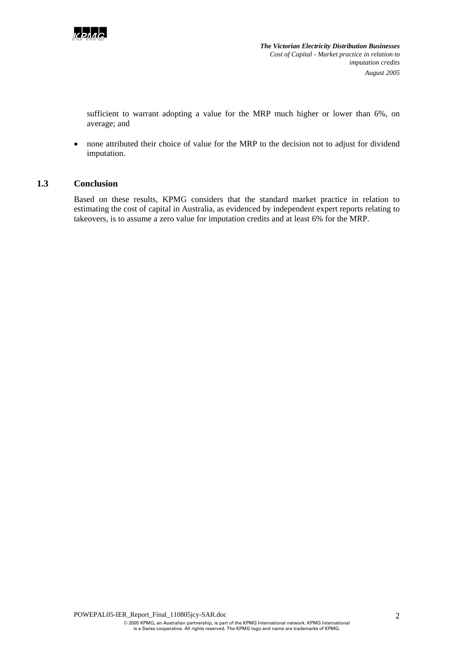

sufficient to warrant adopting a value for the MRP much higher or lower than 6%, on average; and

• none attributed their choice of value for the MRP to the decision not to adjust for dividend imputation.

## **1.3 Conclusion**

Based on these results, KPMG considers that the standard market practice in relation to estimating the cost of capital in Australia, as evidenced by independent expert reports relating to takeovers, is to assume a zero value for imputation credits and at least 6% for the MRP.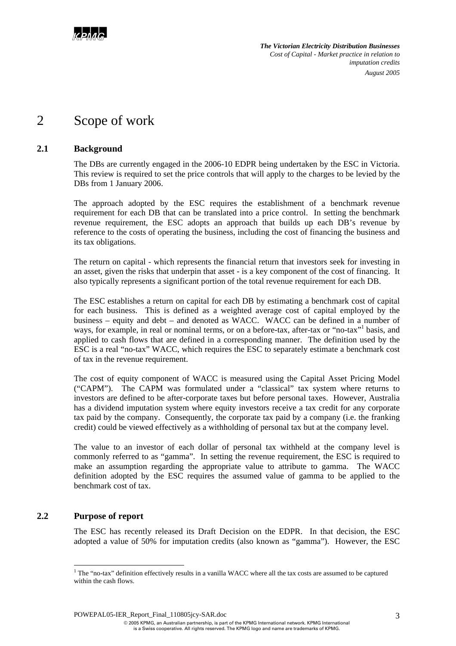

## 2 Scope of work

## **2.1 Background**

The DBs are currently engaged in the 2006-10 EDPR being undertaken by the ESC in Victoria. This review is required to set the price controls that will apply to the charges to be levied by the DBs from 1 January 2006.

The approach adopted by the ESC requires the establishment of a benchmark revenue requirement for each DB that can be translated into a price control. In setting the benchmark revenue requirement, the ESC adopts an approach that builds up each DB's revenue by reference to the costs of operating the business, including the cost of financing the business and its tax obligations.

The return on capital - which represents the financial return that investors seek for investing in an asset, given the risks that underpin that asset - is a key component of the cost of financing. It also typically represents a significant portion of the total revenue requirement for each DB.

The ESC establishes a return on capital for each DB by estimating a benchmark cost of capital for each business. This is defined as a weighted average cost of capital employed by the business – equity and debt – and denoted as WACC. WACC can be defined in a number of ways, for example, in real or nominal terms, or on a before-tax, after-tax or "no-tax"<sup>1</sup> basis, and applied to cash flows that are defined in a corresponding manner. The definition used by the ESC is a real "no-tax" WACC, which requires the ESC to separately estimate a benchmark cost of tax in the revenue requirement.

The cost of equity component of WACC is measured using the Capital Asset Pricing Model ("CAPM"). The CAPM was formulated under a "classical" tax system where returns to investors are defined to be after-corporate taxes but before personal taxes. However, Australia has a dividend imputation system where equity investors receive a tax credit for any corporate tax paid by the company. Consequently, the corporate tax paid by a company (i.e. the franking credit) could be viewed effectively as a withholding of personal tax but at the company level.

The value to an investor of each dollar of personal tax withheld at the company level is commonly referred to as "gamma". In setting the revenue requirement, the ESC is required to make an assumption regarding the appropriate value to attribute to gamma. The WACC definition adopted by the ESC requires the assumed value of gamma to be applied to the benchmark cost of tax.

## **2.2 Purpose of report**

The ESC has recently released its Draft Decision on the EDPR. In that decision, the ESC adopted a value of 50% for imputation credits (also known as "gamma"). However, the ESC

POWEPAL05-IER\_Report\_Final\_110805jcy-SAR.doc

l  $1$  The "no-tax" definition effectively results in a vanilla WACC where all the tax costs are assumed to be captured within the cash flows.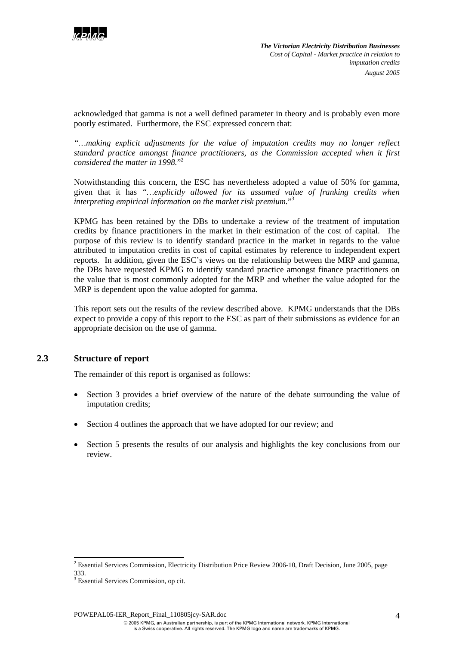

acknowledged that gamma is not a well defined parameter in theory and is probably even more poorly estimated. Furthermore, the ESC expressed concern that:

*"…making explicit adjustments for the value of imputation credits may no longer reflect standard practice amongst finance practitioners, as the Commission accepted when it first considered the matter in 1998.*" 2

Notwithstanding this concern, the ESC has nevertheless adopted a value of 50% for gamma, given that it has *"…explicitly allowed for its assumed value of franking credits when interpreting empirical information on the market risk premium.*" 3

KPMG has been retained by the DBs to undertake a review of the treatment of imputation credits by finance practitioners in the market in their estimation of the cost of capital. The purpose of this review is to identify standard practice in the market in regards to the value attributed to imputation credits in cost of capital estimates by reference to independent expert reports. In addition, given the ESC's views on the relationship between the MRP and gamma, the DBs have requested KPMG to identify standard practice amongst finance practitioners on the value that is most commonly adopted for the MRP and whether the value adopted for the MRP is dependent upon the value adopted for gamma.

This report sets out the results of the review described above. KPMG understands that the DBs expect to provide a copy of this report to the ESC as part of their submissions as evidence for an appropriate decision on the use of gamma.

## **2.3 Structure of report**

l

The remainder of this report is organised as follows:

- Section 3 provides a brief overview of the nature of the debate surrounding the value of imputation credits;
- Section 4 outlines the approach that we have adopted for our review; and
- Section 5 presents the results of our analysis and highlights the key conclusions from our review.

<sup>&</sup>lt;sup>2</sup> Essential Services Commission, Electricity Distribution Price Review 2006-10, Draft Decision, June 2005, page 333.

<sup>3</sup> Essential Services Commission, op cit.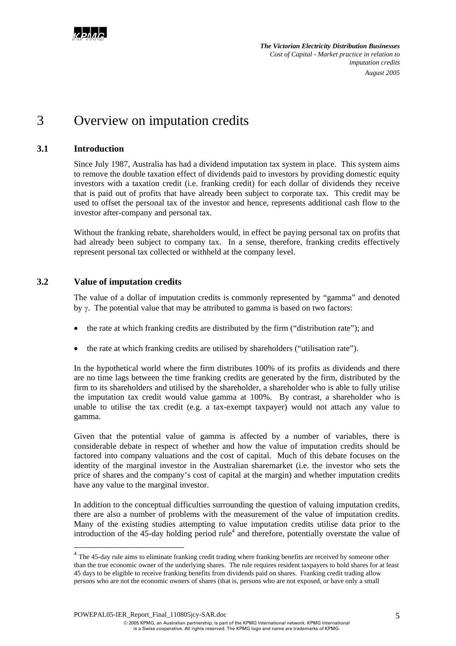

# 3 Overview on imputation credits

## **3.1 Introduction**

l

Since July 1987, Australia has had a dividend imputation tax system in place. This system aims to remove the double taxation effect of dividends paid to investors by providing domestic equity investors with a taxation credit (i.e. franking credit) for each dollar of dividends they receive that is paid out of profits that have already been subject to corporate tax. This credit may be used to offset the personal tax of the investor and hence, represents additional cash flow to the investor after-company and personal tax.

Without the franking rebate, shareholders would, in effect be paying personal tax on profits that had already been subject to company tax. In a sense, therefore, franking credits effectively represent personal tax collected or withheld at the company level.

## **3.2 Value of imputation credits**

The value of a dollar of imputation credits is commonly represented by "gamma" and denoted by  $\gamma$ . The potential value that may be attributed to gamma is based on two factors:

- the rate at which franking credits are distributed by the firm ("distribution rate"); and
- the rate at which franking credits are utilised by shareholders ("utilisation rate").

In the hypothetical world where the firm distributes 100% of its profits as dividends and there are no time lags between the time franking credits are generated by the firm, distributed by the firm to its shareholders and utilised by the shareholder, a shareholder who is able to fully utilise the imputation tax credit would value gamma at 100%. By contrast, a shareholder who is unable to utilise the tax credit (e.g. a tax-exempt taxpayer) would not attach any value to gamma.

Given that the potential value of gamma is affected by a number of variables, there is considerable debate in respect of whether and how the value of imputation credits should be factored into company valuations and the cost of capital. Much of this debate focuses on the identity of the marginal investor in the Australian sharemarket (i.e. the investor who sets the price of shares and the company's cost of capital at the margin) and whether imputation credits have any value to the marginal investor.

In addition to the conceptual difficulties surrounding the question of valuing imputation credits, there are also a number of problems with the measurement of the value of imputation credits. Many of the existing studies attempting to value imputation credits utilise data prior to the introduction of the 45-day holding period rule<sup>4</sup> and therefore, potentially overstate the value of

POWEPAL05-IER\_Report\_Final\_110805jcy-SAR.doc

<sup>&</sup>lt;sup>4</sup> The 45-day rule aims to eliminate franking credit trading where franking benefits are received by someone other than the true economic owner of the underlying shares. The rule requires resident taxpayers to hold shares for at least 45 days to be eligible to receive franking benefits from dividends paid on shares. Franking credit trading allow persons who are not the economic owners of shares (that is, persons who are not exposed, or have only a small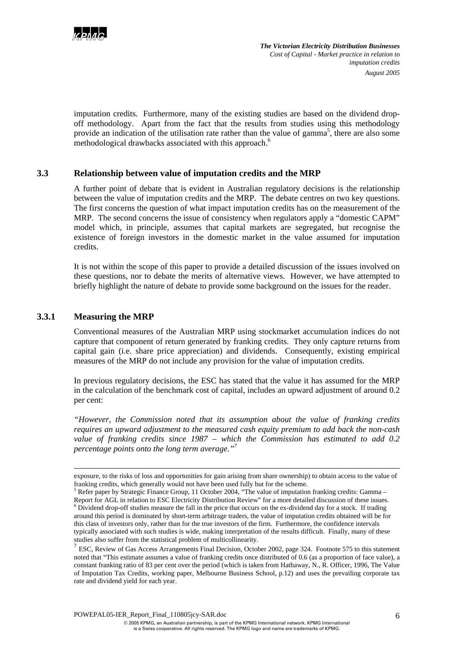

imputation credits. Furthermore, many of the existing studies are based on the dividend dropoff methodology. Apart from the fact that the results from studies using this methodology provide an indication of the utilisation rate rather than the value of gamma<sup>5</sup>, there are also some methodological drawbacks associated with this approach.<sup>6</sup>

## **3.3 Relationship between value of imputation credits and the MRP**

A further point of debate that is evident in Australian regulatory decisions is the relationship between the value of imputation credits and the MRP. The debate centres on two key questions. The first concerns the question of what impact imputation credits has on the measurement of the MRP. The second concerns the issue of consistency when regulators apply a "domestic CAPM" model which, in principle, assumes that capital markets are segregated, but recognise the existence of foreign investors in the domestic market in the value assumed for imputation credits.

It is not within the scope of this paper to provide a detailed discussion of the issues involved on these questions, nor to debate the merits of alternative views. However, we have attempted to briefly highlight the nature of debate to provide some background on the issues for the reader.

#### **3.3.1 Measuring the MRP**

Conventional measures of the Australian MRP using stockmarket accumulation indices do not capture that component of return generated by franking credits. They only capture returns from capital gain (i.e. share price appreciation) and dividends. Consequently, existing empirical measures of the MRP do not include any provision for the value of imputation credits.

In previous regulatory decisions, the ESC has stated that the value it has assumed for the MRP in the calculation of the benchmark cost of capital, includes an upward adjustment of around 0.2 per cent:

*"However, the Commission noted that its assumption about the value of franking credits requires an upward adjustment to the measured cash equity premium to add back the non-cash value of franking credits since 1987 – which the Commission has estimated to add 0.2 percentage points onto the long term average."7*

POWEPAL05-IER\_Report\_Final\_110805jcy-SAR.doc

exposure, to the risks of loss and opportunities for gain arising from share ownership) to obtain access to the value of franking credits, which generally would not have been used fully but for the scheme. <sup>5</sup>

 $<sup>5</sup>$  Refer paper by Strategic Finance Group, 11 October 2004, "The value of imputation franking credits: Gamma –</sup> Report for AGL in relation to ESC Electricity Distribution Review" for a more detailed discussion of these issues.  $6$  Dividend drop-off studies measure the fall in the price that occurs on the ex-dividend day for a stock. If trading around this period is dominated by short-term arbitrage traders, the value of imputation credits obtained will be for this class of investors only, rather than for the true investors of the firm. Furthermore, the confidence intervals typically associated with such studies is wide, making interpretation of the results difficult. Finally, many of these studies also suffer from the statistical problem of multicollinearity.

 $<sup>7</sup>$  ESC, Review of Gas Access Arrangements Final Decision, October 2002, page 324. Footnote 575 to this statement</sup> noted that "This estimate assumes a value of franking credits once distributed of 0.6 (as a proportion of face value), a constant franking ratio of 83 per cent over the period (which is taken from Hathaway, N., R. Officer, 1996, The Value of Imputation Tax Credits, working paper, Melbourne Business School, p.12) and uses the prevailing corporate tax rate and dividend yield for each year.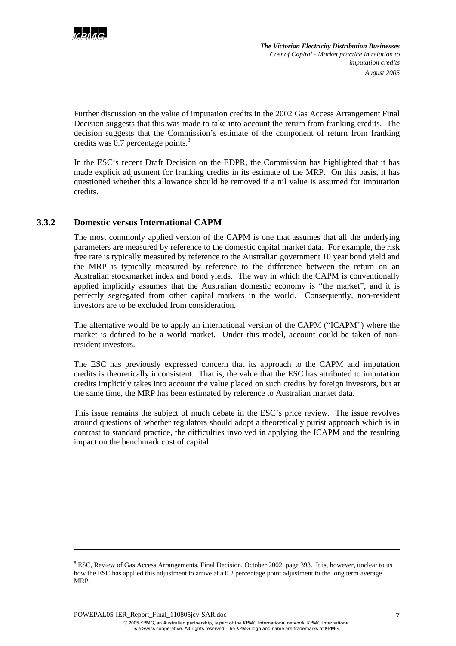

Further discussion on the value of imputation credits in the 2002 Gas Access Arrangement Final Decision suggests that this was made to take into account the return from franking credits. The decision suggests that the Commission's estimate of the component of return from franking credits was  $0.7$  percentage points. $8$ 

In the ESC's recent Draft Decision on the EDPR, the Commission has highlighted that it has made explicit adjustment for franking credits in its estimate of the MRP. On this basis, it has questioned whether this allowance should be removed if a nil value is assumed for imputation credits.

## **3.3.2 Domestic versus International CAPM**

The most commonly applied version of the CAPM is one that assumes that all the underlying parameters are measured by reference to the domestic capital market data. For example, the risk free rate is typically measured by reference to the Australian government 10 year bond yield and the MRP is typically measured by reference to the difference between the return on an Australian stockmarket index and bond yields. The way in which the CAPM is conventionally applied implicitly assumes that the Australian domestic economy is "the market", and it is perfectly segregated from other capital markets in the world. Consequently, non-resident investors are to be excluded from consideration.

The alternative would be to apply an international version of the CAPM ("ICAPM") where the market is defined to be a world market. Under this model, account could be taken of nonresident investors.

The ESC has previously expressed concern that its approach to the CAPM and imputation credits is theoretically inconsistent. That is, the value that the ESC has attributed to imputation credits implicitly takes into account the value placed on such credits by foreign investors, but at the same time, the MRP has been estimated by reference to Australian market data.

This issue remains the subject of much debate in the ESC's price review. The issue revolves around questions of whether regulators should adopt a theoretically purist approach which is in contrast to standard practice, the difficulties involved in applying the ICAPM and the resulting impact on the benchmark cost of capital.

l

<sup>&</sup>lt;sup>8</sup> ESC, Review of Gas Access Arrangements, Final Decision, October 2002, page 393. It is, however, unclear to us how the ESC has applied this adjustment to arrive at a 0.2 percentage point adjustment to the long term average MRP.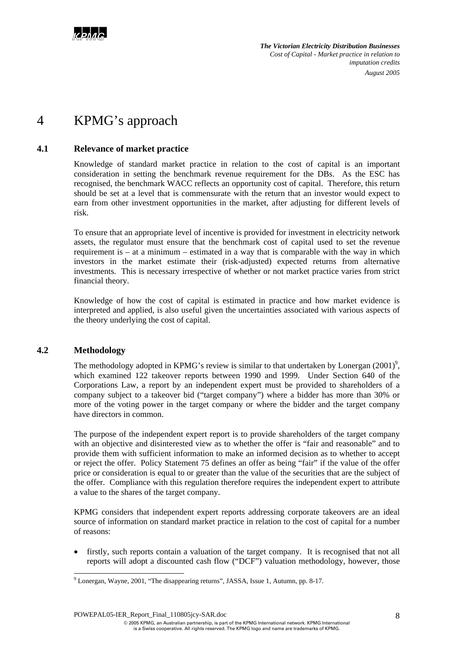

# 4 KPMG's approach

## **4.1 Relevance of market practice**

Knowledge of standard market practice in relation to the cost of capital is an important consideration in setting the benchmark revenue requirement for the DBs. As the ESC has recognised, the benchmark WACC reflects an opportunity cost of capital. Therefore, this return should be set at a level that is commensurate with the return that an investor would expect to earn from other investment opportunities in the market, after adjusting for different levels of risk.

To ensure that an appropriate level of incentive is provided for investment in electricity network assets, the regulator must ensure that the benchmark cost of capital used to set the revenue requirement is – at a minimum – estimated in a way that is comparable with the way in which investors in the market estimate their (risk-adjusted) expected returns from alternative investments. This is necessary irrespective of whether or not market practice varies from strict financial theory.

Knowledge of how the cost of capital is estimated in practice and how market evidence is interpreted and applied, is also useful given the uncertainties associated with various aspects of the theory underlying the cost of capital.

## **4.2 Methodology**

l

The methodology adopted in KPMG's review is similar to that undertaken by Lonergan  $(2001)^9$ , which examined 122 takeover reports between 1990 and 1999. Under Section 640 of the Corporations Law, a report by an independent expert must be provided to shareholders of a company subject to a takeover bid ("target company") where a bidder has more than 30% or more of the voting power in the target company or where the bidder and the target company have directors in common.

The purpose of the independent expert report is to provide shareholders of the target company with an objective and disinterested view as to whether the offer is "fair and reasonable" and to provide them with sufficient information to make an informed decision as to whether to accept or reject the offer. Policy Statement 75 defines an offer as being "fair" if the value of the offer price or consideration is equal to or greater than the value of the securities that are the subject of the offer. Compliance with this regulation therefore requires the independent expert to attribute a value to the shares of the target company.

KPMG considers that independent expert reports addressing corporate takeovers are an ideal source of information on standard market practice in relation to the cost of capital for a number of reasons:

• firstly, such reports contain a valuation of the target company. It is recognised that not all reports will adopt a discounted cash flow ("DCF") valuation methodology, however, those

POWEPAL05-IER\_Report\_Final\_110805jcy-SAR.doc

<sup>&</sup>lt;sup>9</sup> Lonergan, Wayne, 2001, "The disappearing returns", JASSA, Issue 1, Autumn, pp. 8-17.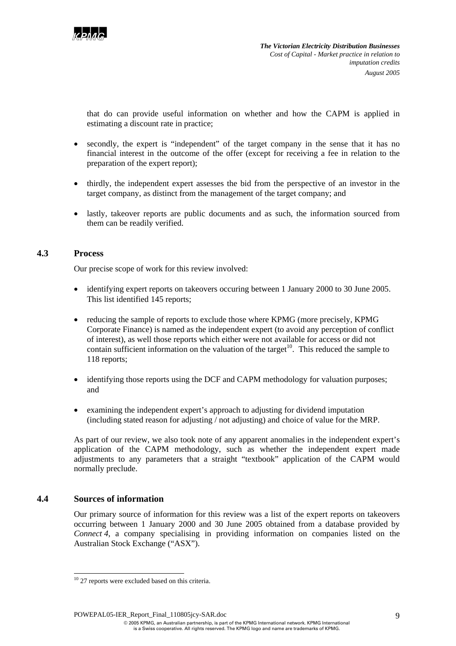

that do can provide useful information on whether and how the CAPM is applied in estimating a discount rate in practice;

- secondly, the expert is "independent" of the target company in the sense that it has no financial interest in the outcome of the offer (except for receiving a fee in relation to the preparation of the expert report);
- thirdly, the independent expert assesses the bid from the perspective of an investor in the target company, as distinct from the management of the target company; and
- lastly, takeover reports are public documents and as such, the information sourced from them can be readily verified.

## **4.3 Process**

Our precise scope of work for this review involved:

- identifying expert reports on takeovers occuring between 1 January 2000 to 30 June 2005. This list identified 145 reports;
- reducing the sample of reports to exclude those where KPMG (more precisely, KPMG Corporate Finance) is named as the independent expert (to avoid any perception of conflict of interest), as well those reports which either were not available for access or did not contain sufficient information on the valuation of the target<sup>10</sup>. This reduced the sample to 118 reports;
- identifying those reports using the DCF and CAPM methodology for valuation purposes; and
- examining the independent expert's approach to adjusting for dividend imputation (including stated reason for adjusting / not adjusting) and choice of value for the MRP.

As part of our review, we also took note of any apparent anomalies in the independent expert's application of the CAPM methodology, such as whether the independent expert made adjustments to any parameters that a straight "textbook" application of the CAPM would normally preclude.

## **4.4 Sources of information**

Our primary source of information for this review was a list of the expert reports on takeovers occurring between 1 January 2000 and 30 June 2005 obtained from a database provided by *Connect 4*, a company specialising in providing information on companies listed on the Australian Stock Exchange ("ASX").

POWEPAL05-IER\_Report\_Final\_110805jcy-SAR.doc

l  $10$  27 reports were excluded based on this criteria.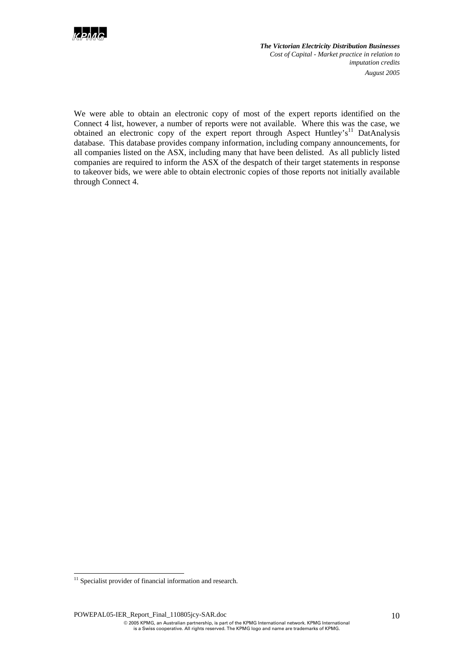

We were able to obtain an electronic copy of most of the expert reports identified on the Connect 4 list, however, a number of reports were not available. Where this was the case, we obtained an electronic copy of the expert report through Aspect Huntley's<sup>11</sup> DatAnalysis database. This database provides company information, including company announcements, for all companies listed on the ASX, including many that have been delisted. As all publicly listed companies are required to inform the ASX of the despatch of their target statements in response to takeover bids, we were able to obtain electronic copies of those reports not initially available through Connect 4.

l

 $11$  Specialist provider of financial information and research.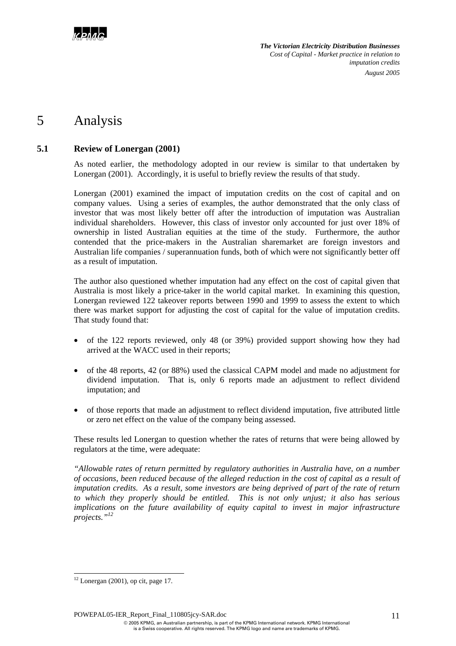

## 5 Analysis

## **5.1 Review of Lonergan (2001)**

As noted earlier, the methodology adopted in our review is similar to that undertaken by Lonergan (2001). Accordingly, it is useful to briefly review the results of that study.

Lonergan (2001) examined the impact of imputation credits on the cost of capital and on company values. Using a series of examples, the author demonstrated that the only class of investor that was most likely better off after the introduction of imputation was Australian individual shareholders. However, this class of investor only accounted for just over 18% of ownership in listed Australian equities at the time of the study. Furthermore, the author contended that the price-makers in the Australian sharemarket are foreign investors and Australian life companies / superannuation funds, both of which were not significantly better off as a result of imputation.

The author also questioned whether imputation had any effect on the cost of capital given that Australia is most likely a price-taker in the world capital market. In examining this question, Lonergan reviewed 122 takeover reports between 1990 and 1999 to assess the extent to which there was market support for adjusting the cost of capital for the value of imputation credits. That study found that:

- of the 122 reports reviewed, only 48 (or 39%) provided support showing how they had arrived at the WACC used in their reports;
- of the 48 reports, 42 (or 88%) used the classical CAPM model and made no adjustment for dividend imputation. That is, only 6 reports made an adjustment to reflect dividend imputation; and
- of those reports that made an adjustment to reflect dividend imputation, five attributed little or zero net effect on the value of the company being assessed.

These results led Lonergan to question whether the rates of returns that were being allowed by regulators at the time, were adequate:

*"Allowable rates of return permitted by regulatory authorities in Australia have, on a number of occasions, been reduced because of the alleged reduction in the cost of capital as a result of imputation credits. As a result, some investors are being deprived of part of the rate of return to which they properly should be entitled. This is not only unjust; it also has serious implications on the future availability of equity capital to invest in major infrastructure projects."<sup>12</sup>*

l

 $12$  Lonergan (2001), op cit, page 17.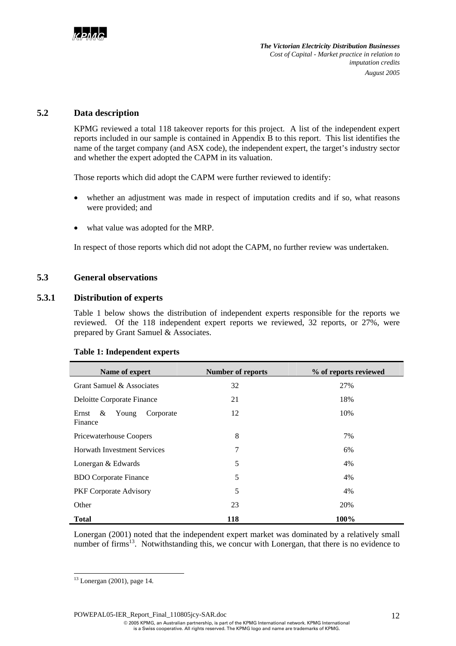## **5.2 Data description**

KPMG reviewed a total 118 takeover reports for this project. A list of the independent expert reports included in our sample is contained in Appendix B to this report. This list identifies the name of the target company (and ASX code), the independent expert, the target's industry sector and whether the expert adopted the CAPM in its valuation.

Those reports which did adopt the CAPM were further reviewed to identify:

- whether an adjustment was made in respect of imputation credits and if so, what reasons were provided; and
- what value was adopted for the MRP.

In respect of those reports which did not adopt the CAPM, no further review was undertaken.

## **5.3 General observations**

## **5.3.1 Distribution of experts**

Table 1 below shows the distribution of independent experts responsible for the reports we reviewed. Of the 118 independent expert reports we reviewed, 32 reports, or 27%, were prepared by Grant Samuel & Associates.

| Name of expert                              | <b>Number of reports</b> | % of reports reviewed |  |  |  |  |  |  |
|---------------------------------------------|--------------------------|-----------------------|--|--|--|--|--|--|
| Grant Samuel & Associates                   | 32                       | 27%                   |  |  |  |  |  |  |
| Deloitte Corporate Finance                  | 21                       | 18%                   |  |  |  |  |  |  |
| Ernst<br>&<br>Corporate<br>Young<br>Finance | 12<br>10%                |                       |  |  |  |  |  |  |
| Pricewaterhouse Coopers                     | 8                        | 7%                    |  |  |  |  |  |  |
| <b>Horwath Investment Services</b>          | 7                        | 6%                    |  |  |  |  |  |  |
| Lonergan & Edwards                          | 5                        | 4%                    |  |  |  |  |  |  |
| <b>BDO</b> Corporate Finance                | 5                        | 4%                    |  |  |  |  |  |  |
| PKF Corporate Advisory                      | 5                        | 4%                    |  |  |  |  |  |  |
| Other                                       | 23                       | 20%                   |  |  |  |  |  |  |
| <b>Total</b>                                | 118                      | 100%                  |  |  |  |  |  |  |

#### **Table 1: Independent experts**

Lonergan (2001) noted that the independent expert market was dominated by a relatively small number of firms<sup>13</sup>. Notwithstanding this, we concur with Lonergan, that there is no evidence to

l

<sup>13</sup> Lonergan (2001), page 14.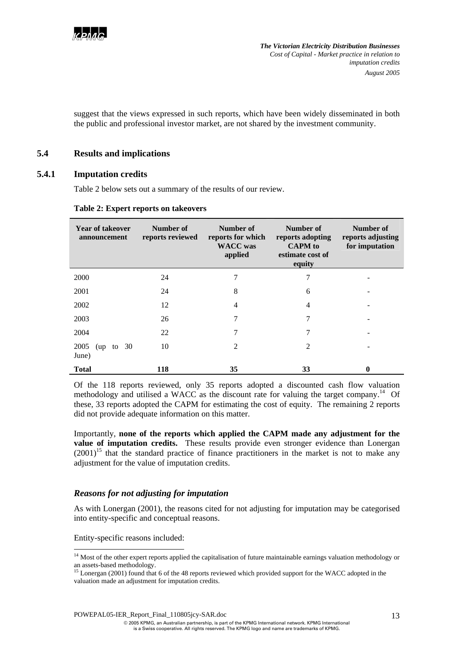

suggest that the views expressed in such reports, which have been widely disseminated in both the public and professional investor market, are not shared by the investment community.

## **5.4 Results and implications**

### **5.4.1 Imputation credits**

Table 2 below sets out a summary of the results of our review.

#### **Table 2: Expert reports on takeovers**

| <b>Year of takeover</b><br>announcement | Number of<br>reports reviewed | Number of<br>reports for which<br><b>WACC</b> was<br>applied | Number of<br>reports adopting<br><b>CAPM</b> to<br>estimate cost of<br>equity | Number of<br>reports adjusting<br>for imputation |
|-----------------------------------------|-------------------------------|--------------------------------------------------------------|-------------------------------------------------------------------------------|--------------------------------------------------|
| 2000                                    | 24                            |                                                              | 7                                                                             |                                                  |
| 2001                                    | 24                            | 8                                                            | 6                                                                             |                                                  |
| 2002                                    | 12                            | 4                                                            | 4                                                                             |                                                  |
| 2003                                    | 26                            | 7                                                            | 7                                                                             |                                                  |
| 2004                                    | 22                            | 7                                                            | 7                                                                             |                                                  |
| 2005<br>to 30<br>(up)<br>June)          | 10                            | 2                                                            | $\mathfrak{D}$                                                                |                                                  |
| <b>Total</b>                            | 118                           | 35                                                           | 33                                                                            | 0                                                |

Of the 118 reports reviewed, only 35 reports adopted a discounted cash flow valuation methodology and utilised a WACC as the discount rate for valuing the target company.<sup>14</sup> Of these, 33 reports adopted the CAPM for estimating the cost of equity. The remaining 2 reports did not provide adequate information on this matter.

Importantly, **none of the reports which applied the CAPM made any adjustment for the value of imputation credits.** These results provide even stronger evidence than Lonergan  $(2001)^{15}$  that the standard practice of finance practitioners in the market is not to make any adjustment for the value of imputation credits.

### *Reasons for not adjusting for imputation*

As with Lonergan (2001), the reasons cited for not adjusting for imputation may be categorised into entity-specific and conceptual reasons.

Entity-specific reasons included:

l

<sup>&</sup>lt;sup>14</sup> Most of the other expert reports applied the capitalisation of future maintainable earnings valuation methodology or an assets-based methodology.

<sup>&</sup>lt;sup>15</sup> Lonergan (2001) found that 6 of the 48 reports reviewed which provided support for the WACC adopted in the valuation made an adjustment for imputation credits.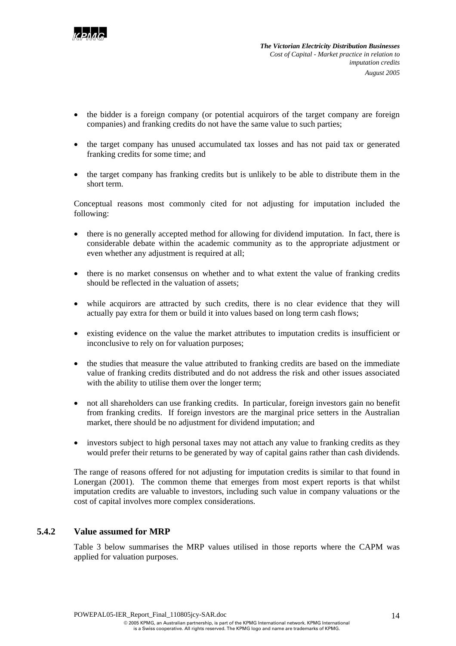

- the bidder is a foreign company (or potential acquirors of the target company are foreign companies) and franking credits do not have the same value to such parties;
- the target company has unused accumulated tax losses and has not paid tax or generated franking credits for some time; and
- the target company has franking credits but is unlikely to be able to distribute them in the short term.

Conceptual reasons most commonly cited for not adjusting for imputation included the following:

- there is no generally accepted method for allowing for dividend imputation. In fact, there is considerable debate within the academic community as to the appropriate adjustment or even whether any adjustment is required at all;
- there is no market consensus on whether and to what extent the value of franking credits should be reflected in the valuation of assets;
- while acquirors are attracted by such credits, there is no clear evidence that they will actually pay extra for them or build it into values based on long term cash flows;
- existing evidence on the value the market attributes to imputation credits is insufficient or inconclusive to rely on for valuation purposes;
- the studies that measure the value attributed to franking credits are based on the immediate value of franking credits distributed and do not address the risk and other issues associated with the ability to utilise them over the longer term;
- not all shareholders can use franking credits. In particular, foreign investors gain no benefit from franking credits. If foreign investors are the marginal price setters in the Australian market, there should be no adjustment for dividend imputation; and
- investors subject to high personal taxes may not attach any value to franking credits as they would prefer their returns to be generated by way of capital gains rather than cash dividends.

The range of reasons offered for not adjusting for imputation credits is similar to that found in Lonergan (2001). The common theme that emerges from most expert reports is that whilst imputation credits are valuable to investors, including such value in company valuations or the cost of capital involves more complex considerations.

## **5.4.2 Value assumed for MRP**

Table 3 below summarises the MRP values utilised in those reports where the CAPM was applied for valuation purposes.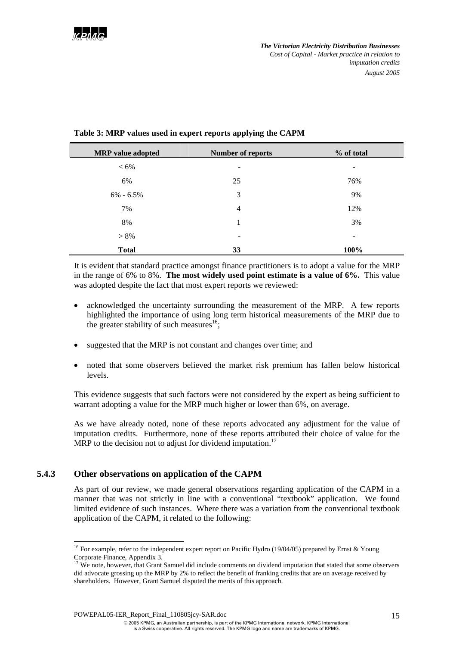| <b>MRP</b> value adopted | <b>Number of reports</b> | % of total |
|--------------------------|--------------------------|------------|
| $< 6\%$                  | ۰                        | -          |
| 6%                       | 25                       | 76%        |
| $6\% - 6.5\%$            | 3                        | 9%         |
| 7%                       | 4                        | 12%        |
| 8%                       | 1                        | 3%         |
| $> 8\%$                  | -                        |            |
| <b>Total</b>             | 33                       | 100%       |

## **Table 3: MRP values used in expert reports applying the CAPM**

It is evident that standard practice amongst finance practitioners is to adopt a value for the MRP in the range of 6% to 8%. **The most widely used point estimate is a value of 6%.** This value was adopted despite the fact that most expert reports we reviewed:

- acknowledged the uncertainty surrounding the measurement of the MRP. A few reports highlighted the importance of using long term historical measurements of the MRP due to the greater stability of such measures<sup>16</sup>;
- suggested that the MRP is not constant and changes over time; and
- noted that some observers believed the market risk premium has fallen below historical levels.

This evidence suggests that such factors were not considered by the expert as being sufficient to warrant adopting a value for the MRP much higher or lower than 6%, on average.

As we have already noted, none of these reports advocated any adjustment for the value of imputation credits. Furthermore, none of these reports attributed their choice of value for the MRP to the decision not to adjust for dividend imputation.<sup>17</sup>

## **5.4.3 Other observations on application of the CAPM**

 $\overline{a}$ 

As part of our review, we made general observations regarding application of the CAPM in a manner that was not strictly in line with a conventional "textbook" application. We found limited evidence of such instances. Where there was a variation from the conventional textbook application of the CAPM, it related to the following:

<sup>&</sup>lt;sup>16</sup> For example, refer to the independent expert report on Pacific Hydro (19/04/05) prepared by Ernst & Young Corporate Finance, Appendix 3.

<sup>&</sup>lt;sup>17</sup> We note, however, that Grant Samuel did include comments on dividend imputation that stated that some observers did advocate grossing up the MRP by 2% to reflect the benefit of franking credits that are on average received by shareholders. However, Grant Samuel disputed the merits of this approach.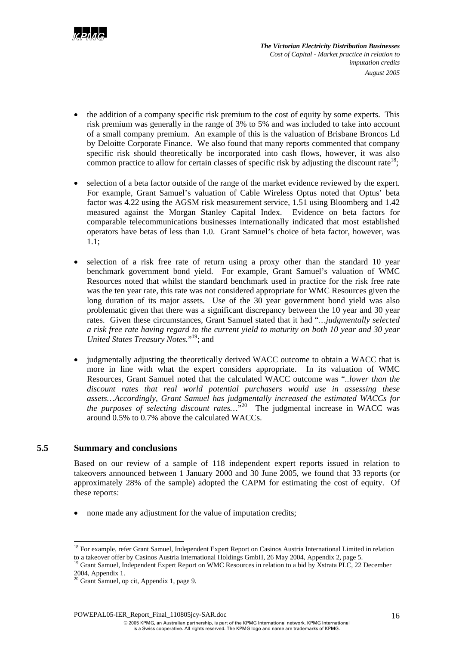

- the addition of a company specific risk premium to the cost of equity by some experts. This risk premium was generally in the range of 3% to 5% and was included to take into account of a small company premium. An example of this is the valuation of Brisbane Broncos Ld by Deloitte Corporate Finance. We also found that many reports commented that company specific risk should theoretically be incorporated into cash flows, however, it was also common practice to allow for certain classes of specific risk by adjusting the discount rate<sup>18</sup>;
- selection of a beta factor outside of the range of the market evidence reviewed by the expert. For example, Grant Samuel's valuation of Cable Wireless Optus noted that Optus' beta factor was 4.22 using the AGSM risk measurement service, 1.51 using Bloomberg and 1.42 measured against the Morgan Stanley Capital Index. Evidence on beta factors for comparable telecommunications businesses internationally indicated that most established operators have betas of less than 1.0. Grant Samuel's choice of beta factor, however, was 1.1;
- selection of a risk free rate of return using a proxy other than the standard 10 year benchmark government bond yield. For example, Grant Samuel's valuation of WMC Resources noted that whilst the standard benchmark used in practice for the risk free rate was the ten year rate, this rate was not considered appropriate for WMC Resources given the long duration of its major assets. Use of the 30 year government bond yield was also problematic given that there was a significant discrepancy between the 10 year and 30 year rates. Given these circumstances, Grant Samuel stated that it had "*…judgmentally selected a risk free rate having regard to the current yield to maturity on both 10 year and 30 year United States Treasury Notes.*" 19; and
- judgmentally adjusting the theoretically derived WACC outcome to obtain a WACC that is more in line with what the expert considers appropriate. In its valuation of WMC Resources, Grant Samuel noted that the calculated WACC outcome was "*..lower than the discount rates that real world potential purchasers would use in assessing these assets…Accordingly, Grant Samuel has judgmentally increased the estimated WACCs for the purposes of selecting discount rates…*" 20 The judgmental increase in WACC was around 0.5% to 0.7% above the calculated WACCs.

### **5.5 Summary and conclusions**

 $\overline{a}$ 

Based on our review of a sample of 118 independent expert reports issued in relation to takeovers announced between 1 January 2000 and 30 June 2005, we found that 33 reports (or approximately 28% of the sample) adopted the CAPM for estimating the cost of equity. Of these reports:

• none made any adjustment for the value of imputation credits;

<sup>&</sup>lt;sup>18</sup> For example, refer Grant Samuel, Independent Expert Report on Casinos Austria International Limited in relation to a takeover offer by Casinos Austria International Holdings GmbH, 26 May 2004, Appendix 2, page 5.<br><sup>19</sup> Grant Samuel, Independent Expert Report on WMC Resources in relation to a bid by Xstrata PLC, 22 December

<sup>2004,</sup> Appendix 1.

<sup>&</sup>lt;sup>20</sup> Grant Samuel, op cit, Appendix 1, page 9.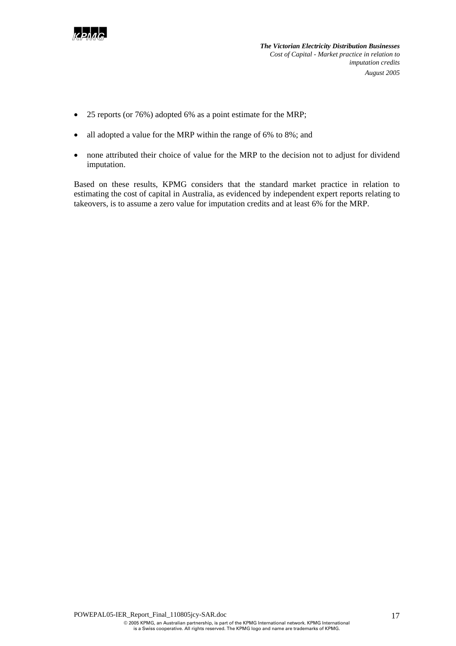

- 25 reports (or 76%) adopted 6% as a point estimate for the MRP;
- all adopted a value for the MRP within the range of 6% to 8%; and
- none attributed their choice of value for the MRP to the decision not to adjust for dividend imputation.

Based on these results, KPMG considers that the standard market practice in relation to estimating the cost of capital in Australia, as evidenced by independent expert reports relating to takeovers, is to assume a zero value for imputation credits and at least 6% for the MRP.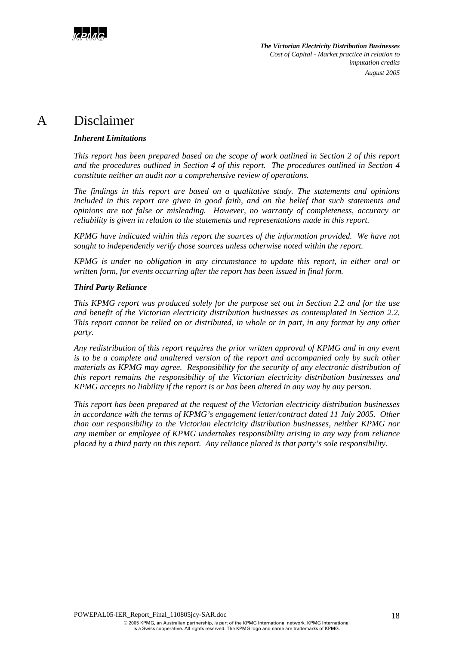

## A Disclaimer

### *Inherent Limitations*

*This report has been prepared based on the scope of work outlined in Section 2 of this report and the procedures outlined in Section 4 of this report. The procedures outlined in Section 4 constitute neither an audit nor a comprehensive review of operations.* 

*The findings in this report are based on a qualitative study. The statements and opinions included in this report are given in good faith, and on the belief that such statements and opinions are not false or misleading. However, no warranty of completeness, accuracy or reliability is given in relation to the statements and representations made in this report.* 

*KPMG have indicated within this report the sources of the information provided. We have not sought to independently verify those sources unless otherwise noted within the report.* 

*KPMG is under no obligation in any circumstance to update this report, in either oral or written form, for events occurring after the report has been issued in final form.* 

### *Third Party Reliance*

*This KPMG report was produced solely for the purpose set out in Section 2.2 and for the use and benefit of the Victorian electricity distribution businesses as contemplated in Section 2.2. This report cannot be relied on or distributed, in whole or in part, in any format by any other party.* 

*Any redistribution of this report requires the prior written approval of KPMG and in any event is to be a complete and unaltered version of the report and accompanied only by such other materials as KPMG may agree. Responsibility for the security of any electronic distribution of this report remains the responsibility of the Victorian electricity distribution businesses and KPMG accepts no liability if the report is or has been altered in any way by any person.* 

*This report has been prepared at the request of the Victorian electricity distribution businesses in accordance with the terms of KPMG's engagement letter/contract dated 11 July 2005. Other than our responsibility to the Victorian electricity distribution businesses, neither KPMG nor any member or employee of KPMG undertakes responsibility arising in any way from reliance placed by a third party on this report. Any reliance placed is that party's sole responsibility.*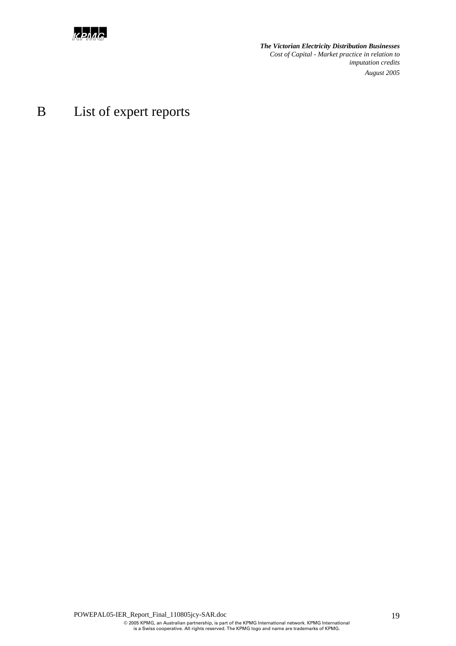

# B List of expert reports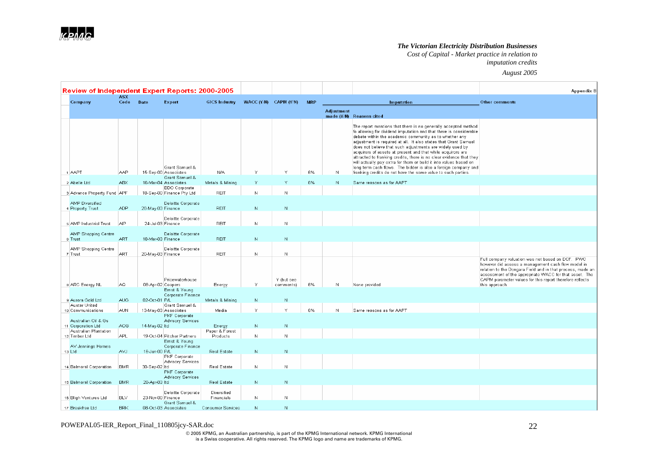*Cost of Capital - Market practice in relation to* 

*imputation credits August 2005*

| <b>Review of Independent Expert Reports: 2000-2005</b> |                    |                   |                                           |                            |                           |                         |            | <b>Appendix B</b> |                                                                                                                                                                                                                                                                                                                                                                                                                                                                                                                                                                                                                                                                             |                                                                                                                                                                                                                                                                                                              |
|--------------------------------------------------------|--------------------|-------------------|-------------------------------------------|----------------------------|---------------------------|-------------------------|------------|-------------------|-----------------------------------------------------------------------------------------------------------------------------------------------------------------------------------------------------------------------------------------------------------------------------------------------------------------------------------------------------------------------------------------------------------------------------------------------------------------------------------------------------------------------------------------------------------------------------------------------------------------------------------------------------------------------------|--------------------------------------------------------------------------------------------------------------------------------------------------------------------------------------------------------------------------------------------------------------------------------------------------------------|
| Company                                                | <b>ASX</b><br>Code | Date              | Expert                                    | <b>GICS Industry</b>       | WACC $(Y/N)$ CAPM $(Y/N)$ |                         | <b>MRP</b> |                   | Imputation                                                                                                                                                                                                                                                                                                                                                                                                                                                                                                                                                                                                                                                                  | <b>Other comments</b>                                                                                                                                                                                                                                                                                        |
|                                                        |                    |                   |                                           |                            |                           |                         |            | <b>Adjustment</b> | made (Y/N) Reasons cited                                                                                                                                                                                                                                                                                                                                                                                                                                                                                                                                                                                                                                                    |                                                                                                                                                                                                                                                                                                              |
| 1 AAPT                                                 | AAP                |                   | Grant Samuel &<br>15-Sep-00 Associates    | N/A                        | Y                         | $\mathsf{Y}$            | 6%         | N                 | The report mentions that there is no generally accepted method<br>fo allowing for dividend imputation and that there is considerable<br>debate within the academic community as to whether any<br>adjustment is required at all. It also states that Grant Samuel<br>does not believe that such adjustments are widely used by<br>acquirers of assets at present and that while acquirors are<br>attracted to franking credits, there is no clear evidence that they<br>will actually pay extra for them or build it into values based on<br>long term cash flows. The bidder is also a foreign company and<br>franking credits do not have the same value to such parties. |                                                                                                                                                                                                                                                                                                              |
| 2 Abelle Ltd                                           | <b>ABX</b>         |                   | Grant Samuel &<br>16-Mar-04 Associates    | Metals & Mining            |                           | Y                       | 6%         | N                 | Same reasons as for AAPT                                                                                                                                                                                                                                                                                                                                                                                                                                                                                                                                                                                                                                                    |                                                                                                                                                                                                                                                                                                              |
|                                                        |                    |                   | <b>BDO</b> Corporate                      |                            |                           |                         |            |                   |                                                                                                                                                                                                                                                                                                                                                                                                                                                                                                                                                                                                                                                                             |                                                                                                                                                                                                                                                                                                              |
| 3 Advance Property Fund APF                            |                    |                   | 18-Sep-00 Finance Pty Ltd                 | <b>REIT</b>                | N                         | N                       |            |                   |                                                                                                                                                                                                                                                                                                                                                                                                                                                                                                                                                                                                                                                                             |                                                                                                                                                                                                                                                                                                              |
| <b>AMP</b> Diversified                                 |                    |                   | Deloitte Corporate                        |                            |                           |                         |            |                   |                                                                                                                                                                                                                                                                                                                                                                                                                                                                                                                                                                                                                                                                             |                                                                                                                                                                                                                                                                                                              |
| 4 Property Trust                                       | <b>ADP</b>         | 28-May-03 Finance |                                           | <b>REIT</b>                | N                         | $\mathbb N$             |            |                   |                                                                                                                                                                                                                                                                                                                                                                                                                                                                                                                                                                                                                                                                             |                                                                                                                                                                                                                                                                                                              |
| 5 AMP Industrial Trust                                 | <b>AIP</b>         | 24-Jul-03 Finance | Deloitte Corporate                        | <b>REIT</b>                | $\mathbb N$               | $\mathbb N$             |            |                   |                                                                                                                                                                                                                                                                                                                                                                                                                                                                                                                                                                                                                                                                             |                                                                                                                                                                                                                                                                                                              |
| AMP Shopping Centre<br>6 Trust                         | <b>ART</b>         | 18-Mar-03 Finance | Deloitte Corporate                        | <b>REIT</b>                | N                         | N                       |            |                   |                                                                                                                                                                                                                                                                                                                                                                                                                                                                                                                                                                                                                                                                             |                                                                                                                                                                                                                                                                                                              |
| AMP Shopping Centre<br>7 Trust                         | <b>ART</b>         | 20-May-03 Finance | Deloitte Corporate                        | REIT                       | N                         | N.                      |            |                   |                                                                                                                                                                                                                                                                                                                                                                                                                                                                                                                                                                                                                                                                             |                                                                                                                                                                                                                                                                                                              |
| 8 ARC Energy NL                                        | AQ                 | 08-Apr-02 Coopers | Pricewaterhouse                           | Energy                     | Υ                         | Y (but see<br>comments) | 6%         | N                 | None provided                                                                                                                                                                                                                                                                                                                                                                                                                                                                                                                                                                                                                                                               | Full company valuation was not based on DCF. PWC<br>however did assess a management cash flow model in<br>relation to the Dongara Field and in that process, made an<br>assessment of the appropriate WACC for that asset. The<br>CAPM parameter values for this report therefore reflects<br>this approach. |
|                                                        |                    |                   | Ernst & Young<br>Corporate Finance        |                            |                           |                         |            |                   |                                                                                                                                                                                                                                                                                                                                                                                                                                                                                                                                                                                                                                                                             |                                                                                                                                                                                                                                                                                                              |
| 9 Aurora Gold Ltd                                      | <b>AUG</b>         | 02-Oct-01 P/L     |                                           | Metals & Mining            | $\mathbb N$               | ${\mathbb N}$           |            |                   |                                                                                                                                                                                                                                                                                                                                                                                                                                                                                                                                                                                                                                                                             |                                                                                                                                                                                                                                                                                                              |
| Austar United<br>10 Communications                     | <b>AUN</b>         |                   | Grant Samuel &<br>13-May-03 Associates    | Media                      | Y                         | V                       | 6%         | $\mathbb{N}$      | Same reasons as for AAPT                                                                                                                                                                                                                                                                                                                                                                                                                                                                                                                                                                                                                                                    |                                                                                                                                                                                                                                                                                                              |
|                                                        |                    |                   | PKF Corporate                             |                            |                           |                         |            |                   |                                                                                                                                                                                                                                                                                                                                                                                                                                                                                                                                                                                                                                                                             |                                                                                                                                                                                                                                                                                                              |
| Australian Oil & Gs<br>11 Corporation Ltd              | <b>AOG</b>         | 14-May-02 ltd     | <b>Advisory Services</b>                  | Energy                     | $\mathbb N$               | ${\mathbb N}$           |            |                   |                                                                                                                                                                                                                                                                                                                                                                                                                                                                                                                                                                                                                                                                             |                                                                                                                                                                                                                                                                                                              |
| Australian Plantation<br>12 Timber Ltd                 | <b>APL</b>         |                   | 19-Oct-04 Pitcher Partners                | Paper & Forest<br>Products | N.                        | N                       |            |                   |                                                                                                                                                                                                                                                                                                                                                                                                                                                                                                                                                                                                                                                                             |                                                                                                                                                                                                                                                                                                              |
|                                                        |                    |                   | Ernst & Young                             |                            |                           |                         |            |                   |                                                                                                                                                                                                                                                                                                                                                                                                                                                                                                                                                                                                                                                                             |                                                                                                                                                                                                                                                                                                              |
| AV Jennings Homes<br>13 Ltd                            | AVJ                | 16-Jun-00 P/L     | Corporate Finance                         | Real Estate                | N                         | ${\mathsf N}$           |            |                   |                                                                                                                                                                                                                                                                                                                                                                                                                                                                                                                                                                                                                                                                             |                                                                                                                                                                                                                                                                                                              |
|                                                        |                    |                   | PKF Corporate                             |                            |                           |                         |            |                   |                                                                                                                                                                                                                                                                                                                                                                                                                                                                                                                                                                                                                                                                             |                                                                                                                                                                                                                                                                                                              |
| 14 Balmoral Corporation                                | <b>BMR</b>         | 30-Sep-02 Itd     | Advisory Services                         | Real Estate                | N.                        | N                       |            |                   |                                                                                                                                                                                                                                                                                                                                                                                                                                                                                                                                                                                                                                                                             |                                                                                                                                                                                                                                                                                                              |
|                                                        |                    |                   | PKF Corporate<br><b>Advisory Services</b> |                            |                           |                         |            |                   |                                                                                                                                                                                                                                                                                                                                                                                                                                                                                                                                                                                                                                                                             |                                                                                                                                                                                                                                                                                                              |
| 15 Balmoral Corporation                                | <b>BMR</b>         | 28-Apr-03 Itd     |                                           | Real Estate                | ${\mathsf N}$             | $\mathbb N$             |            |                   |                                                                                                                                                                                                                                                                                                                                                                                                                                                                                                                                                                                                                                                                             |                                                                                                                                                                                                                                                                                                              |
| 16 Bligh Ventures Ltd                                  | <b>BLV</b>         | 23-Nov-00 Finance | Deloitte Corporate                        | Diversified<br>Financials  | N                         | N                       |            |                   |                                                                                                                                                                                                                                                                                                                                                                                                                                                                                                                                                                                                                                                                             |                                                                                                                                                                                                                                                                                                              |
| 17 Breakfree Ltd                                       | <b>BRK</b>         |                   | Grant Samuel &<br>08-Oct-03 Associates    | <b>Consumer Services</b>   | N                         | N                       |            |                   |                                                                                                                                                                                                                                                                                                                                                                                                                                                                                                                                                                                                                                                                             |                                                                                                                                                                                                                                                                                                              |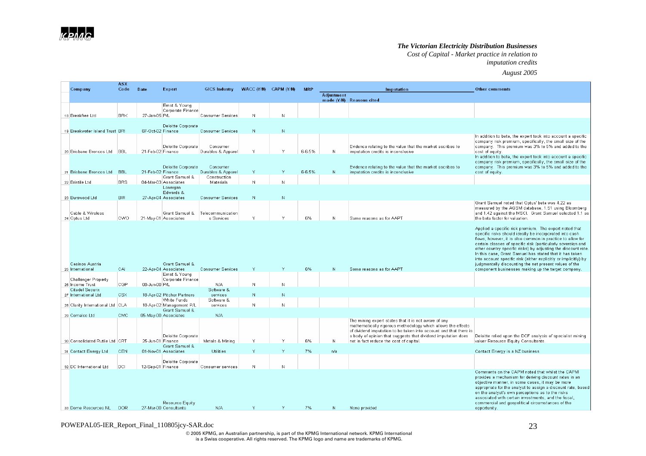*Cost of Capital - Market practice in relation to* 

#### *imputation credits August 2005*

|                                                | <b>ASX</b> |                   |                                          |                                |                       |               |            |                   |                                                                                                                                   |                                                                                                                            |
|------------------------------------------------|------------|-------------------|------------------------------------------|--------------------------------|-----------------------|---------------|------------|-------------------|-----------------------------------------------------------------------------------------------------------------------------------|----------------------------------------------------------------------------------------------------------------------------|
| Company                                        | Code       | <b>Date</b>       | Expert                                   | <b>GICS Industry</b>           | WACC (Y/N) CAPM (Y/N) |               | <b>MRP</b> | <b>Adjustment</b> | Imputation                                                                                                                        | <b>Other comments</b>                                                                                                      |
|                                                |            |                   |                                          |                                |                       |               |            |                   | made (Y/N) Reasons cited                                                                                                          |                                                                                                                            |
|                                                |            |                   | Ernst & Young                            |                                |                       |               |            |                   |                                                                                                                                   |                                                                                                                            |
| 18 Breakfree Ltd                               | <b>BRK</b> | 27-Jan-05 P/L     | Corporate Finance                        | Consumer Services              | N                     |               |            |                   |                                                                                                                                   |                                                                                                                            |
|                                                |            |                   |                                          |                                |                       |               |            |                   |                                                                                                                                   |                                                                                                                            |
| 19 Breakwater Island Trust BRI                 |            | 07-Oct-02 Finance | Deloitte Corporate                       | Consumer Services              | N.                    | ${\mathbb N}$ |            |                   |                                                                                                                                   |                                                                                                                            |
|                                                |            |                   |                                          |                                |                       |               |            |                   |                                                                                                                                   | In addition to beta, the expert took into account a specific                                                               |
|                                                |            |                   |                                          |                                |                       |               |            |                   |                                                                                                                                   | company risk premium, specifically, the small size of the                                                                  |
| 20 Brisbane Broncos Ltd BBL                    |            | 21-Feb-02 Finance | Deloitte Corporate                       | Consumer<br>Durables & Apparel | Y                     | Y             | 6-6.5%     | $\mathbb N$       | Evidence relating to the value that the market ascribes to<br>imputation credits is inconclusive                                  | company. This premium was 3% to 5% and added to the<br>cost of equity.                                                     |
|                                                |            |                   |                                          |                                |                       |               |            |                   |                                                                                                                                   | In addition to beta, the expert took into account a specific                                                               |
|                                                |            |                   | Deloitte Corporate                       | Consumer                       |                       |               |            |                   | Evidence relating to the value that the market ascribes to                                                                        | company risk premium, specifically, the small size of the<br>company. This premium was 3% to 5% and added to the           |
| 21 Brisbane Broncos Ltd                        | <b>BBL</b> | 21-Feb-02 Finance |                                          | Durables & Apparel             | Y                     | Y             | 6-6.5%     | N                 | imputation credits is inconclusive                                                                                                | cost of equity.                                                                                                            |
|                                                |            |                   | Grant Samuel &                           | Construction                   |                       | N             |            |                   |                                                                                                                                   |                                                                                                                            |
| 22 Bristile Ltd                                | <b>BRS</b> |                   | 04-Mar-03 Associates<br>Lonergan         | Materials                      | N                     |               |            |                   |                                                                                                                                   |                                                                                                                            |
|                                                |            |                   | Edwards &                                |                                |                       |               |            |                   |                                                                                                                                   |                                                                                                                            |
| 23 Burswood Ltd                                | BIR.       |                   | 27-Apr-04 Associates                     | <b>Consumer Services</b>       | N                     | N             |            |                   |                                                                                                                                   | Grant Samuel noted that Optus' beta was 4.22 as                                                                            |
|                                                |            |                   |                                          |                                |                       |               |            |                   |                                                                                                                                   | measured by the AGSM database, 1.51 using Bloomberg                                                                        |
| Cable & Wireless                               |            |                   | Grant Samuel &                           | Telecommunication              |                       |               |            |                   |                                                                                                                                   | and 1.42 against the MSCI. Grant Samuel selected 1.1 as                                                                    |
| 24 Optus Ltd                                   | <b>CWO</b> |                   | 21-May-01 Associates                     | s Services                     | Y                     | V             | 6%         | N                 | Same reasons as for AAPT                                                                                                          | the beta factor for valuation.                                                                                             |
|                                                |            |                   |                                          |                                |                       |               |            |                   |                                                                                                                                   | Applied a specific risk premium. The expert noted that                                                                     |
|                                                |            |                   |                                          |                                |                       |               |            |                   |                                                                                                                                   | specific risks should ideally be incorporated into cash                                                                    |
|                                                |            |                   |                                          |                                |                       |               |            |                   |                                                                                                                                   | flows, however, it is also common in practice to allow for<br>certain classes of specific risk (particularly sovereign and |
|                                                |            |                   |                                          |                                |                       |               |            |                   |                                                                                                                                   | other country specific risks) by adjusting the discount rate.                                                              |
|                                                |            |                   |                                          |                                |                       |               |            |                   |                                                                                                                                   | In this case, Grant Samuel has stated that it has taken<br>into account specific risk (either explicitly or implicitly) by |
| Casinos Austria                                |            |                   | Grant Samuel &                           |                                |                       |               |            |                   |                                                                                                                                   | judgmentally discounting the net present values of the                                                                     |
| 25 International                               | CAL        |                   | 22-Apr-04 Associates                     | <b>Consumer Services</b>       | Y                     | Y             | 6%         | $\mathbb N$       | Same reasons as for AAPT                                                                                                          | component businesses making up the target company.                                                                         |
| Challenger Property                            |            |                   | Ernst & Young<br>Corporate Finance       |                                |                       |               |            |                   |                                                                                                                                   |                                                                                                                            |
| 26 Income Trust                                | <b>CGP</b> | 08-Jun-00 P/L     |                                          | N/A                            | N                     | N             |            |                   |                                                                                                                                   |                                                                                                                            |
| <b>Citadel Securix</b><br>27 International Ltd | <b>CSX</b> |                   | 18-Apr-02 Pitcher Partners               | Software &<br>services         | N                     | N             |            |                   |                                                                                                                                   |                                                                                                                            |
|                                                |            |                   | White Funds                              | Software &                     |                       |               |            |                   |                                                                                                                                   |                                                                                                                            |
| 28 Clarity International Ltd CLA               |            |                   | 18-Apr-02 Management P/L                 | services                       | N                     |               |            |                   |                                                                                                                                   |                                                                                                                            |
| 29 Comalco Ltd                                 | CMC        |                   | Grant Samuel &<br>05-May-00 Associates   | N/A                            |                       |               |            |                   |                                                                                                                                   |                                                                                                                            |
|                                                |            |                   |                                          |                                |                       |               |            |                   | The mining expert states that it is not aware of any                                                                              |                                                                                                                            |
|                                                |            |                   |                                          |                                |                       |               |            |                   | mathematically rigorous methodology which allows the effects<br>of dividend imputation to be taken into account and that there is |                                                                                                                            |
|                                                |            |                   | Deloitte Corporate                       |                                |                       |               |            |                   | a body of opinion that suggests that dividend imputation does                                                                     | Deloitte relied upon the DCF analysis of specialist mining                                                                 |
| 30 Consolidated Rutile Ltd CRT                 |            | 25-Jun-01 Finance |                                          | Metals & Mining                | v                     | Y             | 6%         | $\mathbb N$       | not in fact reduce the cost of capital.                                                                                           | valuer Resource Equity Consultants.                                                                                        |
| 31 Contact Energy Ltd                          | <b>CEN</b> |                   | Grant Samuel &<br>01-Nov-01 Associates   | Utilities                      |                       | M             | 7%         | n/a               |                                                                                                                                   | Contact Energy is a NZ business                                                                                            |
|                                                |            |                   |                                          |                                |                       |               |            |                   |                                                                                                                                   |                                                                                                                            |
|                                                | DCI        |                   | Deloitte Corporate                       |                                | N.                    | N             |            |                   |                                                                                                                                   |                                                                                                                            |
| 32 DC International Ltd                        |            | 12-Sep-01 Finance |                                          | Consumer services              |                       |               |            |                   |                                                                                                                                   | Comments on the CAPM noted that whilst the CAPM                                                                            |
|                                                |            |                   |                                          |                                |                       |               |            |                   |                                                                                                                                   | provides a mechanism for deriving discount rates in an                                                                     |
|                                                |            |                   |                                          |                                |                       |               |            |                   |                                                                                                                                   | objective manner, in some cases, it may be more<br>appropriate for the analyst to assign a discount rate, based            |
|                                                |            |                   |                                          |                                |                       |               |            |                   |                                                                                                                                   | on the analyst's own perceptions as to the risks                                                                           |
|                                                |            |                   |                                          |                                |                       |               |            |                   |                                                                                                                                   | associated with certain investments, and the fiscal,                                                                       |
| 33 Dome Resources NL                           | DOR.       |                   | Resource Equity<br>27-Mar-00 Consultants | N/A                            | ٧                     |               | 7%         | $\mathbb N$       | None provided                                                                                                                     | commercial and geopolitical circumstances of the<br>opportunity.                                                           |
|                                                |            |                   |                                          |                                |                       |               |            |                   |                                                                                                                                   |                                                                                                                            |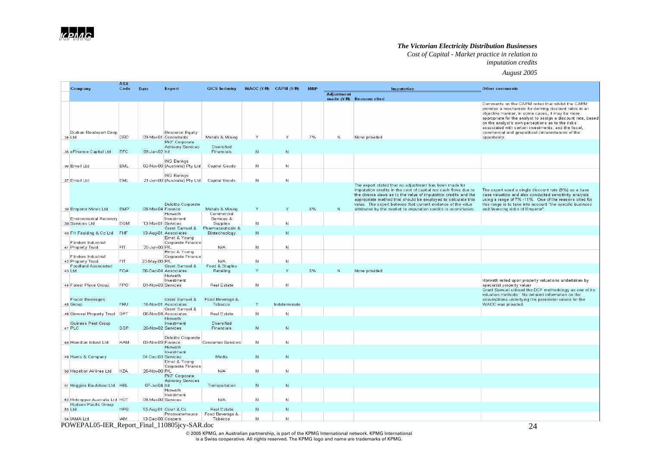*Cost of Capital - Market practice in relation to* 

## *imputation credits*

*August 2005*

| Company                                                | ASX<br>Code | <b>Date</b>        | Expert                                                    | <b>GICS Industry</b>                 | WACC (Y/N) CAPM (Y/N) |               | <b>MRP</b> |                   | Imputation                                                                                                                                                                                                                                                                                                                                                                                       | <b>Other comments</b>                                                                                                                                                                                                                                                                                                                    |
|--------------------------------------------------------|-------------|--------------------|-----------------------------------------------------------|--------------------------------------|-----------------------|---------------|------------|-------------------|--------------------------------------------------------------------------------------------------------------------------------------------------------------------------------------------------------------------------------------------------------------------------------------------------------------------------------------------------------------------------------------------------|------------------------------------------------------------------------------------------------------------------------------------------------------------------------------------------------------------------------------------------------------------------------------------------------------------------------------------------|
|                                                        |             |                    |                                                           |                                      |                       |               |            | <b>Adjustment</b> | made (Y/N) Reasons cited                                                                                                                                                                                                                                                                                                                                                                         |                                                                                                                                                                                                                                                                                                                                          |
|                                                        |             |                    |                                                           |                                      |                       |               |            |                   |                                                                                                                                                                                                                                                                                                                                                                                                  | Comments on the CAPM noted that whilst the CAPM<br>provides a mechanism for deriving discount rates in an<br>objective manner, in some cases, it may be more<br>appropriate for the analyst to assign a discount rate, based<br>on the analyst's own perceptions as to the risks<br>associated with certain investments, and the fiscal, |
| Durban Roodeport Deep<br>34 Ltd                        | DRD         |                    | Resource Equity<br>09-Mar-01 Consultants<br>PKF Corporate | Metals & Mining                      | Y                     | $\vee$        | 7%         | Ν                 | None provided                                                                                                                                                                                                                                                                                                                                                                                    | commercial and geopolitical circumstances of the<br>opportunity.                                                                                                                                                                                                                                                                         |
| 35 eFinance Capital Ltd                                | EFC         | 09-Jan-02 ltd      | <b>Advisory Services</b>                                  | Diversified<br>Financials            | $\mathbb N$           | N             |            |                   |                                                                                                                                                                                                                                                                                                                                                                                                  |                                                                                                                                                                                                                                                                                                                                          |
| 36 Email Ltd                                           | EML         |                    | <b>ING Barings</b><br>02-Nov-00 (Australia) Pty Ltd       | Capital Goods                        | N                     | N             |            |                   |                                                                                                                                                                                                                                                                                                                                                                                                  |                                                                                                                                                                                                                                                                                                                                          |
| 37 Email Ltd                                           | <b>EML</b>  |                    | <b>ING Barings</b><br>21-Jun-00 (Australia) Pty Ltd       | Capital Goods                        | $\mathbb N$           | N             |            |                   |                                                                                                                                                                                                                                                                                                                                                                                                  |                                                                                                                                                                                                                                                                                                                                          |
| 38 Emperor Mines Ltd                                   | EMP         | 08-Mar-04 Finance  | Deloitte Corporate                                        | Metals & Mining                      | Υ                     | Υ             | 6%         | N                 | The expert stated that no adjustment has been made for<br>imputation credits in the cost of capital nor cash flows due to<br>the diverse views as to the value of imputation credits and the<br>appropriate method that should be employed to calculate this<br>value. The expert believes that current evidence of the value<br>attributed by the market to imputation credits is inconclusive. | The expert used a single discount rate (9%) as a base<br>case valuation and also conducted sensitivity analysis<br>using a range of 7% -11%. One of the reasons cited for<br>this range is to take into account "the specific business"<br>and financing risks of Emperor".                                                              |
| <b>Environmental Recovery</b><br>39 Services Ltd       | <b>EQM</b>  | 13-Mar-01 Services | Horwath<br>Investment                                     | Commercial<br>Services &<br>Supplies | N                     | N             |            |                   |                                                                                                                                                                                                                                                                                                                                                                                                  |                                                                                                                                                                                                                                                                                                                                          |
| 40 FH Faulding & Co Ltd                                | FHF         |                    | Grant Samuel &<br>13-Aug-01 Associates                    | Pharmaceuticals &<br>Biotechnology   | $\mathbb N$           | N             |            |                   |                                                                                                                                                                                                                                                                                                                                                                                                  |                                                                                                                                                                                                                                                                                                                                          |
| Flinders Industrial                                    |             |                    | Ernst & Young<br>Corporate Finance                        |                                      |                       |               |            |                   |                                                                                                                                                                                                                                                                                                                                                                                                  |                                                                                                                                                                                                                                                                                                                                          |
| 41 Property Trust                                      | <b>FIT</b>  | 20-Jun-00 P/L      | Ernst & Young                                             | N/A                                  | N                     | N.            |            |                   |                                                                                                                                                                                                                                                                                                                                                                                                  |                                                                                                                                                                                                                                                                                                                                          |
| Flinders Industrial<br>42 Property Trust               | FIT         | 23-May-00 P/L      | Corporate Finance                                         | N/A                                  | N                     | N             |            |                   |                                                                                                                                                                                                                                                                                                                                                                                                  |                                                                                                                                                                                                                                                                                                                                          |
| <b>Foodland Associated</b><br>43 Ltd                   | <b>FOA</b>  |                    | Grant Samuel &<br>06-Dec-04 Associates                    | Food & Staples<br>Retailing          |                       | Y             | 6%         | $\mathbb N$       | None provided                                                                                                                                                                                                                                                                                                                                                                                    |                                                                                                                                                                                                                                                                                                                                          |
| 44 Forest Place Group                                  | <b>FPG</b>  | 01-Nov-03 Services | Horwath<br>Investment                                     | Real Estate                          | $\mathbb N$           | N             |            |                   |                                                                                                                                                                                                                                                                                                                                                                                                  | Horwath relied upon property valuations undertaken by<br>specialist property valuer                                                                                                                                                                                                                                                      |
| <b>Frucor Beverages</b>                                |             |                    | Grant Samuel &                                            | Food Beverage &                      |                       |               |            |                   |                                                                                                                                                                                                                                                                                                                                                                                                  | Grant Samuel utilised the DCF methodology as one of its<br>valuation methods. No detailed information on the<br>assumptions underlying the parameter values for the                                                                                                                                                                      |
| 45 Group                                               | FRU         |                    | 16-Nov-01 Associates<br>Grant Samuel &                    | Tobacco                              | Y                     | Indeterminate |            |                   |                                                                                                                                                                                                                                                                                                                                                                                                  | WACC was provided.                                                                                                                                                                                                                                                                                                                       |
| 46 General Property Trust GPT                          |             |                    | 08-Nov-04 Associates<br>Horwath                           | Real Estate                          | N                     | N             |            |                   |                                                                                                                                                                                                                                                                                                                                                                                                  |                                                                                                                                                                                                                                                                                                                                          |
| Guiness Peat Group<br>47 PLC                           | GSP         | 20-Nov-02 Services | Investment                                                | Diversified<br>Financials            | N                     | N             |            |                   |                                                                                                                                                                                                                                                                                                                                                                                                  |                                                                                                                                                                                                                                                                                                                                          |
| 48 Hamilton Island Ltd                                 | <b>HAM</b>  | 03-Nov-03 Finance  | Deloitte Corporate                                        | Consumer Services                    | N                     | N             |            |                   |                                                                                                                                                                                                                                                                                                                                                                                                  |                                                                                                                                                                                                                                                                                                                                          |
|                                                        |             |                    | Horwath<br>Investment                                     |                                      |                       |               |            |                   |                                                                                                                                                                                                                                                                                                                                                                                                  |                                                                                                                                                                                                                                                                                                                                          |
| 49 Harris & Company                                    |             | 04-Dec-03 Services | Ernst & Young<br>Corporate Finance                        | Media                                | N                     | N             |            |                   |                                                                                                                                                                                                                                                                                                                                                                                                  |                                                                                                                                                                                                                                                                                                                                          |
| 50 Hazelton Airlines Ltd                               | <b>HZA</b>  | 28-Nov-00 P/L      |                                                           | N/A                                  | N                     | N.            |            |                   |                                                                                                                                                                                                                                                                                                                                                                                                  |                                                                                                                                                                                                                                                                                                                                          |
|                                                        |             |                    | PKF Corporate<br>Advisory Services                        |                                      |                       |               |            |                   |                                                                                                                                                                                                                                                                                                                                                                                                  |                                                                                                                                                                                                                                                                                                                                          |
| 51 Heggies Baulkhaul Ltd HBL                           |             | 07-Jul-04 ltd      | Horwath                                                   | Transportation                       | ${\mathbb N}$         | N             |            |                   |                                                                                                                                                                                                                                                                                                                                                                                                  |                                                                                                                                                                                                                                                                                                                                          |
| 52 Hotcopper Australia Ltd HOT<br>Hudson Pacific Group |             | 09-Mar-00 Services | Investment                                                | N/A                                  | N                     | N.            |            |                   |                                                                                                                                                                                                                                                                                                                                                                                                  |                                                                                                                                                                                                                                                                                                                                          |
| 53 Ltd                                                 | <b>HPG</b>  |                    | 13-Aug-01 Court & Co.<br>Pricewaterhouse                  | Real Estate<br>Food Beverage &       | $\mathbb N$           | N             |            |                   |                                                                                                                                                                                                                                                                                                                                                                                                  |                                                                                                                                                                                                                                                                                                                                          |
| 54 IAMA Ltd                                            | IAM.        | 13-Dec-00 Coopers  |                                                           | Tobacco                              | N                     | N             |            |                   |                                                                                                                                                                                                                                                                                                                                                                                                  |                                                                                                                                                                                                                                                                                                                                          |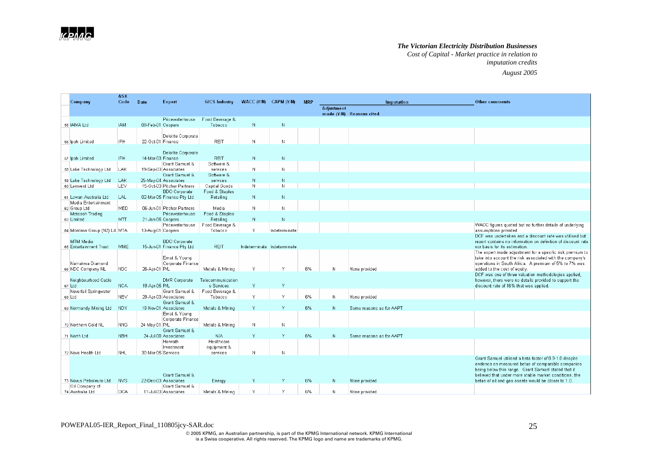*Cost of Capital - Market practice in relation to imputation credits August 2005*

|                                               | <b>ASX</b> |                    |                                                   |                            |                             |               |            |                   |                          |                                                                                                                                                                     |
|-----------------------------------------------|------------|--------------------|---------------------------------------------------|----------------------------|-----------------------------|---------------|------------|-------------------|--------------------------|---------------------------------------------------------------------------------------------------------------------------------------------------------------------|
| Company                                       | Code       | <b>Date</b>        | Expert                                            | <b>GICS Industry</b>       | WACC $(Y/N)$ CAPM $(Y/N)$   |               | <b>MRP</b> |                   | <b>Imputation</b>        | <b>Other comments</b>                                                                                                                                               |
|                                               |            |                    |                                                   |                            |                             |               |            | <b>Adjustment</b> | made (Y/N) Reasons cited |                                                                                                                                                                     |
|                                               |            |                    | Pricewaterhouse                                   | Food Beverage &            |                             |               |            |                   |                          |                                                                                                                                                                     |
| 55 JAMA Ltd                                   | IAM.       | 09-Feb-01 Coopers  |                                                   | Tobacco                    | N                           | N             |            |                   |                          |                                                                                                                                                                     |
| 56 Ipoh Limited                               | IPH        | 22-Oct-01 Finance  | Deloitte Corporate                                | <b>REIT</b>                | N.                          | N             |            |                   |                          |                                                                                                                                                                     |
|                                               |            |                    |                                                   |                            |                             |               |            |                   |                          |                                                                                                                                                                     |
|                                               |            |                    | Deloitte Corporate                                |                            |                             |               |            |                   |                          |                                                                                                                                                                     |
| 57 Ipoh Limited                               | IPH        | 14-Mar-03 Finance  |                                                   | <b>REIT</b>                | $\mathbb N$                 | N             |            |                   |                          |                                                                                                                                                                     |
|                                               |            |                    | Grant Samuel &                                    | Software &                 | N.                          | N             |            |                   |                          |                                                                                                                                                                     |
| 58 Lake Technology Ltd                        | LAK        |                    | 19-Sep-03 Associates<br>Grant Samuel &            | services<br>Software &     |                             |               |            |                   |                          |                                                                                                                                                                     |
| 59 Lake Technology Ltd                        | LAK        |                    | 25-May-04 Associates                              | services                   | N                           | N             |            |                   |                          |                                                                                                                                                                     |
| 60 Lemvest Ltd                                | LEV        |                    | 15-Oct-03 Pitcher Partners                        | Capital Goods              | N                           | N             |            |                   |                          |                                                                                                                                                                     |
|                                               |            |                    | <b>BDO</b> Corporate                              | Food & Staples             |                             |               |            |                   |                          |                                                                                                                                                                     |
| 61 Lowan Australia Ltd<br>Media Entertainment | LAL.       |                    | 02-Mar-05 Finance Pty Ltd                         | Retailing                  | N.                          | N             |            |                   |                          |                                                                                                                                                                     |
| 62 Group Ltd                                  | MED.       |                    | 06-Jun-01 Pitcher Partners                        | Media                      | N.                          | N             |            |                   |                          |                                                                                                                                                                     |
| Metcash Trading                               |            |                    | Pricewaterhouse                                   | Food & Staples             |                             |               |            |                   |                          |                                                                                                                                                                     |
| 63 Limited                                    | <b>MTT</b> | 21-Jan-05 Coopers  |                                                   | Retailing                  | N                           | $\mathbb N$   |            |                   |                          |                                                                                                                                                                     |
| 64 Montana Group (NZ) Ld MTA                  |            | 13-Aug-01 Coopers  | Pricewaterhouse                                   | Food Beverage &<br>Tobacco | Υ                           | Indeterminate |            |                   |                          | WACC figures quoted but no further details of underlying<br>assumptions provided.                                                                                   |
|                                               |            |                    |                                                   |                            |                             |               |            |                   |                          | DCF was undertaken and a discount rate was utilised but                                                                                                             |
| MTM Media<br>65 Entertainment Trust           | MME        |                    | <b>BDO</b> Corporate<br>15-Jun-01 Finance Pty Ltd | <b>REIT</b>                | Indeterminate Indeterminate |               |            |                   |                          | report contains no information on definition of discount rate<br>nor basis for its estimation.                                                                      |
|                                               |            |                    |                                                   |                            |                             |               |            |                   |                          | The expert made adjustment for a specific risk premium to                                                                                                           |
|                                               |            |                    | Ernst & Young                                     |                            |                             |               |            |                   |                          | take into account the risk associated with the company's                                                                                                            |
| Namakwa Diamond<br>66 NDC Company NL          | NDC.       | 26-Apr-01 P/L      | Corporate Finance                                 | Metals & Mining            | Y                           | Y             | 6%         | N                 | None provided            | operations in South Africa. A premium of 5% to 7% was<br>added to the cost of equity                                                                                |
|                                               |            |                    |                                                   |                            |                             |               |            |                   |                          | DCF was one of three valuation methodologies applied,                                                                                                               |
| Neighbourhood Cable                           |            |                    | DMR Corporate                                     | Telecommunication          |                             |               |            |                   |                          | however, there were no details provided to support the                                                                                                              |
| 67 Ltd                                        | <b>NCA</b> | 19-Apr-05 P/L      |                                                   | s Services                 | Y.                          | Y             |            |                   |                          | discount rate of 16% that was applied.                                                                                                                              |
| Neverfail Springwater                         |            |                    | Grant Samuel &                                    | Food Beverage &            | Y                           |               | 6%         |                   |                          |                                                                                                                                                                     |
| 68 Ltd                                        | <b>NEV</b> |                    | 29-Apr-03 Associates<br>Grant Samuel &            | Tobacco                    |                             |               |            | $\mathbb N$       | None provided            |                                                                                                                                                                     |
| 69 Normandy Mining Ltd                        | <b>NDY</b> |                    | 19-Nov-01 Associates                              | Metals & Mining            | Y                           | Y             | 6%         | N                 | Same reasons as for AAPT |                                                                                                                                                                     |
|                                               |            |                    | Ernst & Young                                     |                            |                             |               |            |                   |                          |                                                                                                                                                                     |
|                                               |            |                    | Corporate Finance                                 |                            |                             |               |            |                   |                          |                                                                                                                                                                     |
| 70 Northern Gold NL                           | <b>NNG</b> | 24-May-01 P/L      |                                                   | Metals & Mining            | N                           | N             |            |                   |                          |                                                                                                                                                                     |
|                                               |            |                    | Grant Samuel &                                    |                            |                             |               |            |                   |                          |                                                                                                                                                                     |
| 71 North Ltd                                  | <b>NBH</b> |                    | 24-Jul-00 Associates<br>Horwath                   | N/A<br>Healthcare          | Y.                          | Y             | 6%         | N                 | Same reasons as for AAPT |                                                                                                                                                                     |
|                                               |            |                    | Investment                                        | equipment &                |                             |               |            |                   |                          |                                                                                                                                                                     |
| 72 Nova Health Ltd                            | NHL        | 30-Mar-05 Services |                                                   | services                   | N                           | N             |            |                   |                          |                                                                                                                                                                     |
|                                               |            |                    |                                                   |                            |                             |               |            |                   |                          | Grant Samuel utilised a beta factor of 0.9-1.0 despite<br>eivdence on measured betas of comparable companies<br>being below this range. Grant Samuel stated that it |
|                                               |            |                    | Grant Samuel &                                    |                            |                             |               |            |                   |                          | believed that under more stable market conditions, the                                                                                                              |
| 73 Novus Petroleum Ltd                        | <b>NVS</b> |                    | 22-Dec-03 Associates                              | Energy                     | Y.                          | Y             | 6%         | $\mathbb N$       | None provided            | betas of oil and gas assets would be closer to 1.0.                                                                                                                 |
| Oil Company of                                |            |                    | Grant Samuel &                                    |                            |                             |               |            |                   |                          |                                                                                                                                                                     |
| 74 Australia Ltd                              | <b>OCA</b> |                    | 11-Jul-03 Associates                              | Metals & Mining            | Y                           | ٧             | 6%         | N                 | None provided            |                                                                                                                                                                     |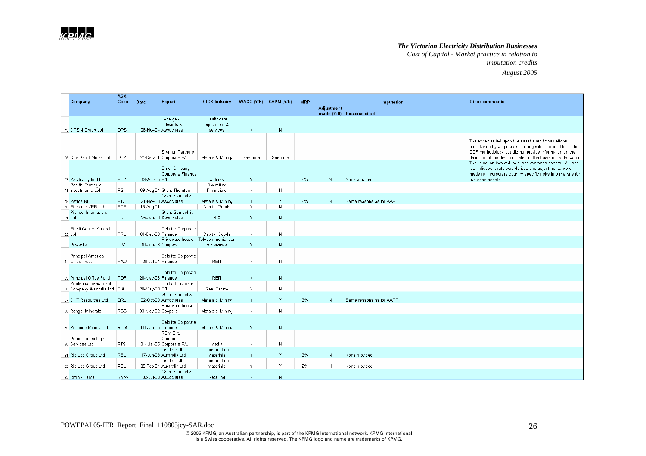*Cost of Capital - Market practice in relation to imputation credits*

*August 2005*

|                                                       | <b>ASX</b> |                   |                                               |                                       |                           |              |            |                   |                          |                                                                                                                                                                                                                                                  |
|-------------------------------------------------------|------------|-------------------|-----------------------------------------------|---------------------------------------|---------------------------|--------------|------------|-------------------|--------------------------|--------------------------------------------------------------------------------------------------------------------------------------------------------------------------------------------------------------------------------------------------|
| Company                                               | Code       | Date              | Expert                                        | <b>GICS Industry</b>                  | WACC $(Y/N)$ CAPM $(Y/N)$ |              | <b>MRP</b> |                   | Imputation               | <b>Other comments</b>                                                                                                                                                                                                                            |
|                                                       |            |                   |                                               |                                       |                           |              |            | <b>Adjustment</b> | made (Y/N) Reasons cited |                                                                                                                                                                                                                                                  |
| 75 OPSM Group Ltd                                     | OPS        |                   | Lonergan<br>Edwards &<br>26-Nov-04 Associates | Healthcare<br>equipment &<br>services | N                         | $\mathbb{N}$ |            |                   |                          |                                                                                                                                                                                                                                                  |
| 76 Otter Gold Mines Ltd                               | <b>OTR</b> |                   | Stanton Partners<br>24-Dec-01 Corporate P/L   | Metals & Mining                       | See note                  | See note     |            |                   |                          | The expert relied upon the asset specific valuations<br>undertaken by a specialist mining valuer, who utilised the<br>DCF methodology but did not provide information on the<br>definition of the discount rate nor the basis of its derivation. |
| 77 Pacific Hydro Ltd                                  | PHY        | 19-Apr-05 P/L     | Ernst & Young<br>Corporate Finance            | Utilities                             | Y.                        | Y            | 6%         | $\mathbb N$       |                          | The valuation involved local and overseas assets. A base<br>local discount rate was derived and adjustments were<br>made to incorporate country specific risks into the rate for                                                                 |
| Pacific Strategic                                     |            |                   |                                               | Diversified                           |                           |              |            |                   | None provided            | overseas assets.                                                                                                                                                                                                                                 |
| 78 Investments Ltd                                    | PSI        |                   | 09-Aug-04 Grant Thornton                      | Financials                            | N.                        | N            |            |                   |                          |                                                                                                                                                                                                                                                  |
|                                                       |            |                   | Grant Samuel &                                |                                       |                           |              |            |                   |                          |                                                                                                                                                                                                                                                  |
| 79 Petroz NL                                          | PTZ        |                   | 21-Nov-00 Associates                          | Metals & Mining                       | Υ                         |              | 6%         | N                 | Same reasons as for AAPT |                                                                                                                                                                                                                                                  |
| 80 Pinnacle VRB Ltd                                   | PCE        | 16-Aug-01         |                                               | Capital Goods                         | N                         | N            |            |                   |                          |                                                                                                                                                                                                                                                  |
| Pioneer International<br>81 Ltd                       | <b>PNI</b> |                   | Grant Samuel &<br>25-Jan-00 Associates        | N/A                                   | N                         | N            |            |                   |                          |                                                                                                                                                                                                                                                  |
|                                                       |            |                   |                                               |                                       |                           |              |            |                   |                          |                                                                                                                                                                                                                                                  |
| Pirelli Cables Australia                              |            |                   | Deloitte Corporate                            |                                       |                           |              |            |                   |                          |                                                                                                                                                                                                                                                  |
| 82 Ltd                                                | PRL        | 01-Dec-00 Finance |                                               | Capital Goods                         | N                         | N            |            |                   |                          |                                                                                                                                                                                                                                                  |
|                                                       |            |                   | Pricewaterhouse                               | Telecommunication                     |                           |              |            |                   |                          |                                                                                                                                                                                                                                                  |
| 83 PowerTel                                           | <b>PWT</b> | 10-Jun-03 Coopers |                                               | s Services                            | N                         | N            |            |                   |                          |                                                                                                                                                                                                                                                  |
| Principal America                                     |            |                   | Deloitte Corporate                            |                                       |                           |              |            |                   |                          |                                                                                                                                                                                                                                                  |
| 84 Office Trust                                       | PAO        | 28-Jul-04 Finance |                                               | <b>REIT</b>                           | N                         | N            |            |                   |                          |                                                                                                                                                                                                                                                  |
|                                                       |            |                   |                                               |                                       |                           |              |            |                   |                          |                                                                                                                                                                                                                                                  |
|                                                       |            |                   | Deloitte Corporate                            |                                       |                           |              |            |                   |                          |                                                                                                                                                                                                                                                  |
| 85 Principal Office Fund                              | POF        | 26-May-03 Finance |                                               | <b>REIT</b>                           | N                         | $\mathbb N$  |            |                   |                          |                                                                                                                                                                                                                                                  |
| Prudential Investment<br>86 Company Australia Ltd PIA |            | 28-May-03 P/L     | Hindal Corporate                              | Real Estate                           | N.                        | N            |            |                   |                          |                                                                                                                                                                                                                                                  |
|                                                       |            |                   | Grant Samuel &                                |                                       |                           |              |            |                   |                          |                                                                                                                                                                                                                                                  |
| 87 QCT Resources Ltd                                  | QRL        |                   | 02-Oct-00 Associates                          | Metals & Mining                       | Y.                        | Y            | 6%         | N                 | Same reasons as for AAPT |                                                                                                                                                                                                                                                  |
|                                                       |            |                   | Pricewaterhouse                               |                                       |                           |              |            |                   |                          |                                                                                                                                                                                                                                                  |
| 88 Ranger Minerals                                    | <b>RGS</b> | 03-May-02 Coopers |                                               | Metals & Mining                       | N.                        | N            |            |                   |                          |                                                                                                                                                                                                                                                  |
|                                                       |            |                   | Deloitte Corporate                            |                                       |                           |              |            |                   |                          |                                                                                                                                                                                                                                                  |
| 89 Reliance Mining Ltd                                | <b>REM</b> | 06-Jan-05 Finance |                                               | Metals & Mining                       | ${\mathsf N}$             | $\mathbb N$  |            |                   |                          |                                                                                                                                                                                                                                                  |
|                                                       |            |                   | RSM Bird                                      |                                       |                           |              |            |                   |                          |                                                                                                                                                                                                                                                  |
| Retail Technology                                     |            |                   | Cameron                                       |                                       |                           |              |            |                   |                          |                                                                                                                                                                                                                                                  |
| 90 Services Ltd                                       | <b>RTS</b> |                   | 01-Mar-05 Corporate P/L                       | Media                                 | N                         | N            |            |                   |                          |                                                                                                                                                                                                                                                  |
|                                                       |            |                   | Leadenhall                                    | Construction                          |                           |              |            |                   |                          |                                                                                                                                                                                                                                                  |
| 91 Rib Loc Group Ltd                                  | <b>RBL</b> |                   | 17-Jun-03 Australia Ltd                       | Materials                             | Y                         | Y            | 6%         | ${\mathsf N}$     | None provided            |                                                                                                                                                                                                                                                  |
| 92 Rib Loc Group Ltd                                  | RBL        |                   | Leadenhall<br>25-Feb-04 Australia Ltd         | Construction<br>Materials             | ٧                         | Y            | 6%         | N                 | None provided            |                                                                                                                                                                                                                                                  |
|                                                       |            |                   | Grant Samuel &                                |                                       |                           |              |            |                   |                          |                                                                                                                                                                                                                                                  |
| 93 RM Williams                                        | <b>RMW</b> |                   | 02-Jul-03 Associates                          | Retailing                             | N.                        | N            |            |                   |                          |                                                                                                                                                                                                                                                  |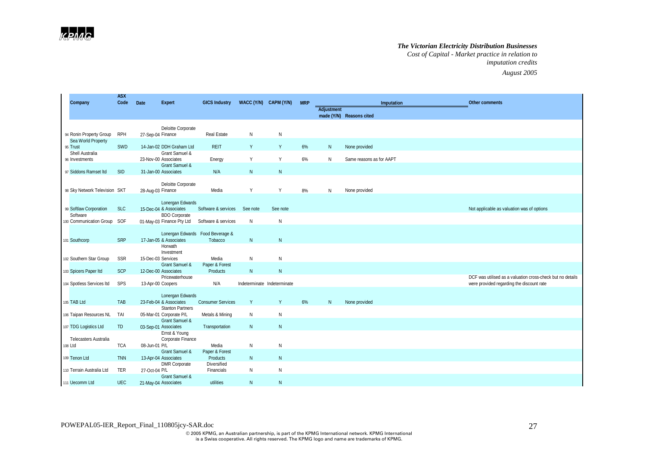*Cost of Capital - Market practice in relation to imputation credits August 2005*

| Company                            | <b>ASX</b><br>Code | Date              | <b>Expert</b>                                                      | <b>GICS Industry</b>                        | WACC (Y/N) CAPM (Y/N)       |              | <b>MRP</b> |                   |                          | Imputation | <b>Other comments</b>                                                                                   |
|------------------------------------|--------------------|-------------------|--------------------------------------------------------------------|---------------------------------------------|-----------------------------|--------------|------------|-------------------|--------------------------|------------|---------------------------------------------------------------------------------------------------------|
|                                    |                    |                   |                                                                    |                                             |                             |              |            | <b>Adjustment</b> | made (Y/N) Reasons cited |            |                                                                                                         |
| 94 Ronin Property Group            | <b>RPH</b>         | 27-Sep-04 Finance | Deloitte Corporate                                                 | Real Estate                                 | N                           | N            |            |                   |                          |            |                                                                                                         |
| Sea World Property<br>95 Trust     | SWD                |                   | 14-Jan-02 DDH Graham Ltd                                           | <b>REIT</b>                                 | Y                           | Y            | 6%         | $\mathsf{N}$      | None provided            |            |                                                                                                         |
| Shell Australia<br>96 Investments  |                    |                   | <b>Grant Samuel &amp;</b><br>23-Nov-00 Associates                  | Energy                                      | Y                           | Y            | 6%         | N                 | Same reasons as for AAPT |            |                                                                                                         |
| 97 Siddons Ramset Itd              | <b>SID</b>         |                   | Grant Samuel &<br>31-Jan-00 Associates                             | N/A                                         | $\mathsf{N}$                | $\mathsf{N}$ |            |                   |                          |            |                                                                                                         |
| 98 Sky Network Television SKT      |                    | 28-Aug-03 Finance | Deloitte Corporate                                                 | Media                                       | Υ                           | Y            | 8%         | N                 | None provided            |            |                                                                                                         |
| 99 Softlaw Corporation<br>Software | <b>SLC</b>         |                   | Lonergan Edwards<br>15-Dec-04 & Associates<br><b>BDO</b> Corporate | Software & services                         | See note                    | See note     |            |                   |                          |            | Not applicable as valuation was of options                                                              |
| 100 Communication Group SOF        |                    |                   | 01-May-03 Finance Pty Ltd                                          | Software & services                         | N                           | N            |            |                   |                          |            |                                                                                                         |
| 101 Southcorp                      | SRP                |                   | 17-Jan-05 & Associates                                             | Lonergan Edwards Food Beverage &<br>Tobacco | $\mathsf{N}$                | $\mathsf{N}$ |            |                   |                          |            |                                                                                                         |
| 102 Southern Star Group            | SSR                |                   | Horwath<br>Investment<br>15-Dec-03 Services                        | Media                                       | N                           | N            |            |                   |                          |            |                                                                                                         |
| 103 Spicers Paper Itd              | <b>SCP</b>         |                   | Grant Samuel &<br>12-Dec-00 Associates                             | Paper & Forest<br>Products                  | N                           | N            |            |                   |                          |            |                                                                                                         |
| 104 Spotless Services Itd          | SPS                |                   | Pricewaterhouse<br>13-Apr-00 Coopers                               | N/A                                         | Indeterminate Indeterminate |              |            |                   |                          |            | DCF was utilised as a valuation cross-check but no details<br>were provided regarding the discount rate |
| 105 TAB Ltd                        | TAB                |                   | Lonergan Edwards<br>23-Feb-04 & Associates                         | <b>Consumer Services</b>                    | Y                           | Y            | 6%         | N                 | None provided            |            |                                                                                                         |
| 106 Taipan Resources NL            | TAI                |                   | <b>Stanton Partners</b><br>05-Mar-01 Corporate P/L                 | Metals & Mining                             | N                           | N            |            |                   |                          |            |                                                                                                         |
| 107 TDG Logistics Ltd              | <b>TD</b>          |                   | Grant Samuel &<br>03-Sep-01 Associates                             | Transportation                              | $\mathsf{N}$                | $\mathsf{N}$ |            |                   |                          |            |                                                                                                         |
| <b>Telecasters Australia</b>       | <b>TCA</b>         |                   | Ernst & Young<br>Corporate Finance                                 | Media                                       | N                           | N            |            |                   |                          |            |                                                                                                         |
| 108 Ltd                            |                    | 08-Jun-01 P/L     | Grant Samuel &                                                     | Paper & Forest                              |                             |              |            |                   |                          |            |                                                                                                         |
| 109 Tenon Ltd                      | <b>TNN</b>         |                   | 13-Apr-04 Associates<br><b>DMR</b> Corporate                       | Products<br>Diversified                     | N                           | N            |            |                   |                          |            |                                                                                                         |
| 110 Terrain Australia Ltd          | <b>TER</b>         | 27-Oct-04 P/L     | Grant Samuel &                                                     | Financials                                  | N                           | N            |            |                   |                          |            |                                                                                                         |
| 111 Uecomm Ltd                     | <b>UEC</b>         |                   | 21-May-04 Associates                                               | utilities                                   | $\mathsf{N}$                | $\mathsf{N}$ |            |                   |                          |            |                                                                                                         |